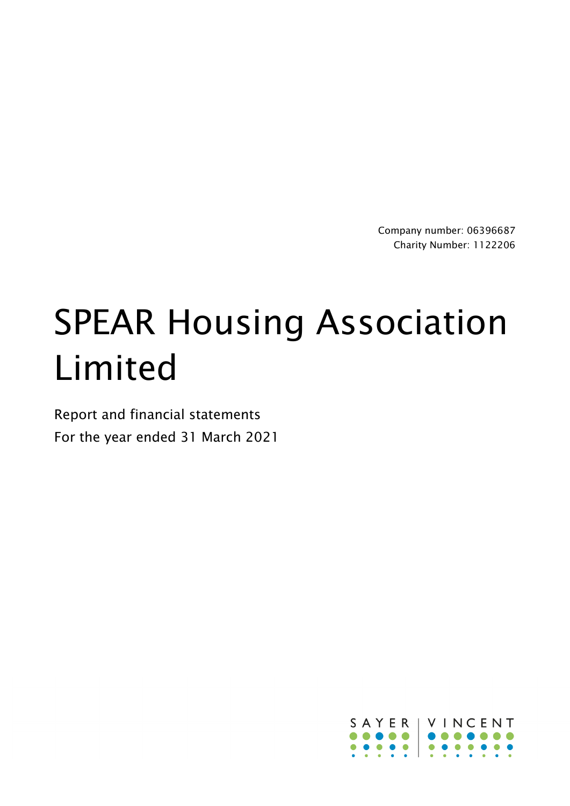Company number: 06396687 Charity Number: 1122206

# SPEAR Housing Association Limited

Report and financial statements For the year ended 31 March 2021

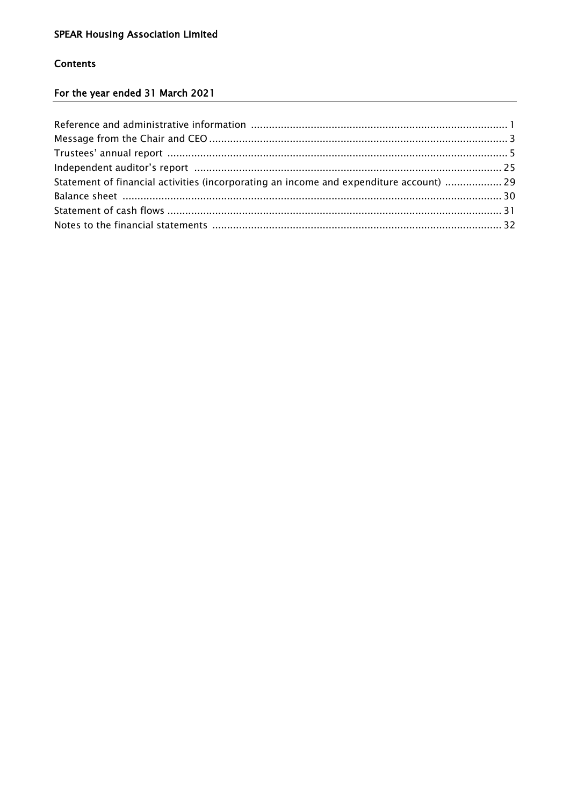# **Contents**

# For the year ended 31 March 2021

| Statement of financial activities (incorporating an income and expenditure account)  29 |  |
|-----------------------------------------------------------------------------------------|--|
|                                                                                         |  |
|                                                                                         |  |
|                                                                                         |  |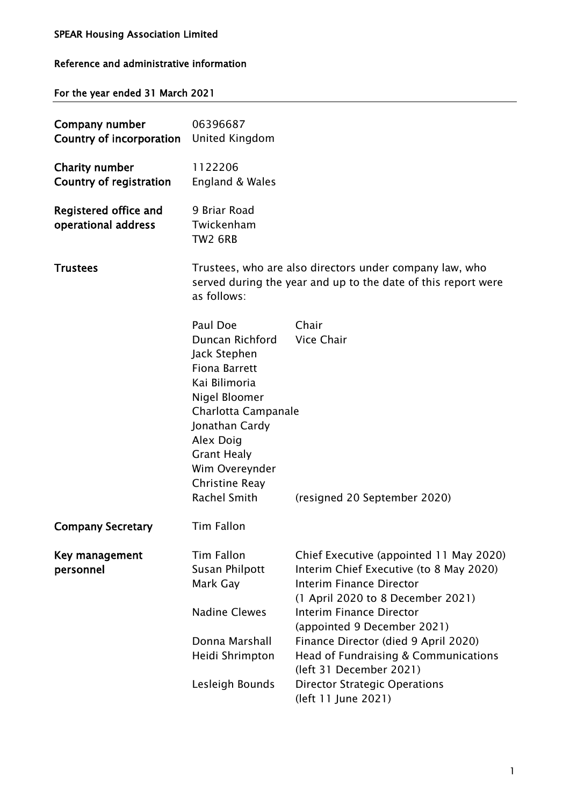# Reference and administrative information

# For the year ended 31 March 2021

| Company number<br>Country of incorporation              | 06396687<br>United Kingdom                                                                                                                                                                                                   |                                                                                                                                                                                                                                                                                                                                                                                                        |
|---------------------------------------------------------|------------------------------------------------------------------------------------------------------------------------------------------------------------------------------------------------------------------------------|--------------------------------------------------------------------------------------------------------------------------------------------------------------------------------------------------------------------------------------------------------------------------------------------------------------------------------------------------------------------------------------------------------|
| <b>Charity number</b><br><b>Country of registration</b> | 1122206<br>England & Wales                                                                                                                                                                                                   |                                                                                                                                                                                                                                                                                                                                                                                                        |
| Registered office and<br>operational address            | 9 Briar Road<br>Twickenham<br><b>TW2 6RB</b>                                                                                                                                                                                 |                                                                                                                                                                                                                                                                                                                                                                                                        |
| <b>Trustees</b>                                         | as follows:                                                                                                                                                                                                                  | Trustees, who are also directors under company law, who<br>served during the year and up to the date of this report were                                                                                                                                                                                                                                                                               |
|                                                         | Paul Doe<br>Duncan Richford<br>Jack Stephen<br><b>Fiona Barrett</b><br>Kai Bilimoria<br>Nigel Bloomer<br>Charlotta Campanale<br>Jonathan Cardy<br>Alex Doig<br><b>Grant Healy</b><br>Wim Overeynder<br><b>Christine Reay</b> | Chair<br><b>Vice Chair</b>                                                                                                                                                                                                                                                                                                                                                                             |
| <b>Company Secretary</b>                                | Rachel Smith<br><b>Tim Fallon</b>                                                                                                                                                                                            | (resigned 20 September 2020)                                                                                                                                                                                                                                                                                                                                                                           |
| Key management<br>personnel                             | <b>Tim Fallon</b><br>Susan Philpott<br>Mark Gay<br><b>Nadine Clewes</b><br>Donna Marshall<br>Heidi Shrimpton<br>Lesleigh Bounds                                                                                              | Chief Executive (appointed 11 May 2020)<br>Interim Chief Executive (to 8 May 2020)<br><b>Interim Finance Director</b><br>(1 April 2020 to 8 December 2021)<br><b>Interim Finance Director</b><br>(appointed 9 December 2021)<br>Finance Director (died 9 April 2020)<br>Head of Fundraising & Communications<br>(left 31 December 2021)<br><b>Director Strategic Operations</b><br>(left 11 June 2021) |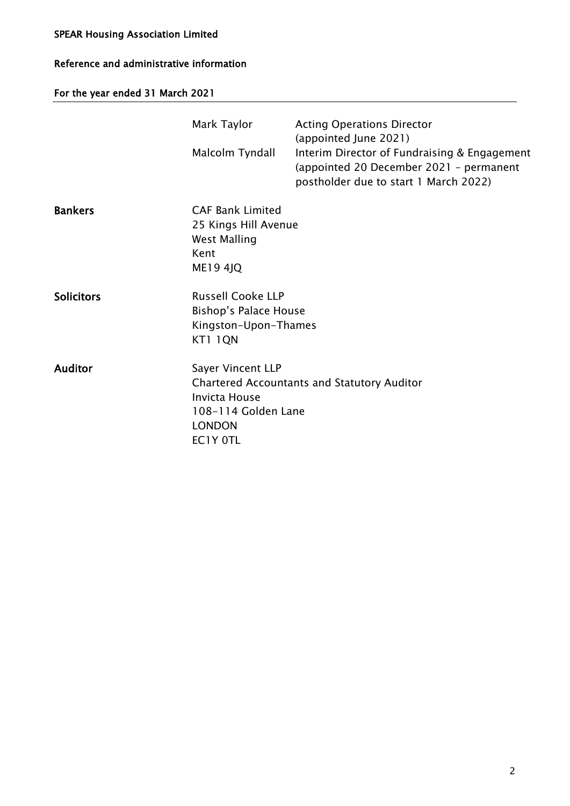# Reference and administrative information

For the year ended 31 March 2021

|                   | Mark Taylor<br>Malcolm Tyndall                                                                    | <b>Acting Operations Director</b><br>(appointed June 2021)<br>Interim Director of Fundraising & Engagement<br>(appointed 20 December 2021 - permanent<br>postholder due to start 1 March 2022) |
|-------------------|---------------------------------------------------------------------------------------------------|------------------------------------------------------------------------------------------------------------------------------------------------------------------------------------------------|
| <b>Bankers</b>    | <b>CAF Bank Limited</b><br>25 Kings Hill Avenue<br><b>West Malling</b><br>Kent<br><b>ME19 4JQ</b> |                                                                                                                                                                                                |
| <b>Solicitors</b> | <b>Russell Cooke LLP</b><br><b>Bishop's Palace House</b><br>Kingston-Upon-Thames<br>KT1 IQN       |                                                                                                                                                                                                |
| <b>Auditor</b>    | Sayer Vincent LLP<br><b>Invicta House</b><br>108-114 Golden Lane<br><b>LONDON</b><br>EC1Y OTL     | <b>Chartered Accountants and Statutory Auditor</b>                                                                                                                                             |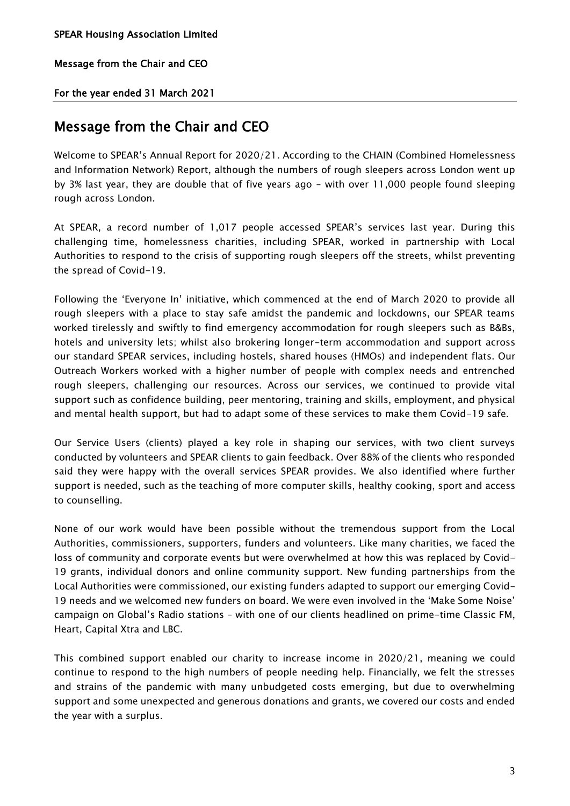Message from the Chair and CEO

For the year ended 31 March 2021

# Message from the Chair and CEO

Welcome to SPEAR's Annual Report for 2020/21. According to the CHAIN (Combined Homelessness and Information Network) Report, although the numbers of rough sleepers across London went up by 3% last year, they are double that of five years ago – with over 11,000 people found sleeping rough across London.

At SPEAR, a record number of 1,017 people accessed SPEAR's services last year. During this challenging time, homelessness charities, including SPEAR, worked in partnership with Local Authorities to respond to the crisis of supporting rough sleepers off the streets, whilst preventing the spread of Covid-19.

Following the 'Everyone In' initiative, which commenced at the end of March 2020 to provide all rough sleepers with a place to stay safe amidst the pandemic and lockdowns, our SPEAR teams worked tirelessly and swiftly to find emergency accommodation for rough sleepers such as B&Bs, hotels and university lets; whilst also brokering longer-term accommodation and support across our standard SPEAR services, including hostels, shared houses (HMOs) and independent flats. Our Outreach Workers worked with a higher number of people with complex needs and entrenched rough sleepers, challenging our resources. Across our services, we continued to provide vital support such as confidence building, peer mentoring, training and skills, employment, and physical and mental health support, but had to adapt some of these services to make them Covid-19 safe.

Our Service Users (clients) played a key role in shaping our services, with two client surveys conducted by volunteers and SPEAR clients to gain feedback. Over 88% of the clients who responded said they were happy with the overall services SPEAR provides. We also identified where further support is needed, such as the teaching of more computer skills, healthy cooking, sport and access to counselling.

None of our work would have been possible without the tremendous support from the Local Authorities, commissioners, supporters, funders and volunteers. Like many charities, we faced the loss of community and corporate events but were overwhelmed at how this was replaced by Covid-19 grants, individual donors and online community support. New funding partnerships from the Local Authorities were commissioned, our existing funders adapted to support our emerging Covid-19 needs and we welcomed new funders on board. We were even involved in the 'Make Some Noise' campaign on Global's Radio stations – with one of our clients headlined on prime-time Classic FM, Heart, Capital Xtra and LBC.

This combined support enabled our charity to increase income in 2020/21, meaning we could continue to respond to the high numbers of people needing help. Financially, we felt the stresses and strains of the pandemic with many unbudgeted costs emerging, but due to overwhelming support and some unexpected and generous donations and grants, we covered our costs and ended the year with a surplus.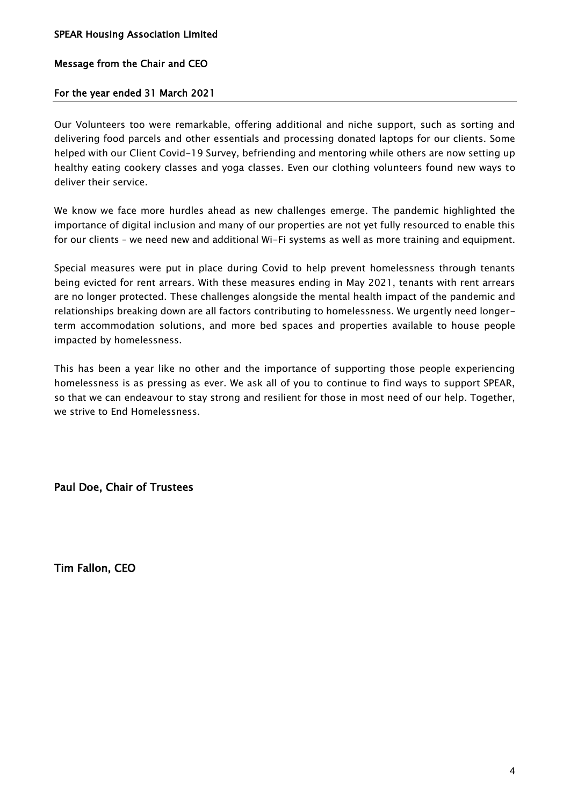# Message from the Chair and CEO

# For the year ended 31 March 2021

Our Volunteers too were remarkable, offering additional and niche support, such as sorting and delivering food parcels and other essentials and processing donated laptops for our clients. Some helped with our Client Covid-19 Survey, befriending and mentoring while others are now setting up healthy eating cookery classes and yoga classes. Even our clothing volunteers found new ways to deliver their service.

We know we face more hurdles ahead as new challenges emerge. The pandemic highlighted the importance of digital inclusion and many of our properties are not yet fully resourced to enable this for our clients – we need new and additional Wi-Fi systems as well as more training and equipment.

Special measures were put in place during Covid to help prevent homelessness through tenants being evicted for rent arrears. With these measures ending in May 2021, tenants with rent arrears are no longer protected. These challenges alongside the mental health impact of the pandemic and relationships breaking down are all factors contributing to homelessness. We urgently need longerterm accommodation solutions, and more bed spaces and properties available to house people impacted by homelessness.

This has been a year like no other and the importance of supporting those people experiencing homelessness is as pressing as ever. We ask all of you to continue to find ways to support SPEAR, so that we can endeavour to stay strong and resilient for those in most need of our help. Together, we strive to End Homelessness.

Paul Doe, Chair of Trustees

Tim Fallon, CEO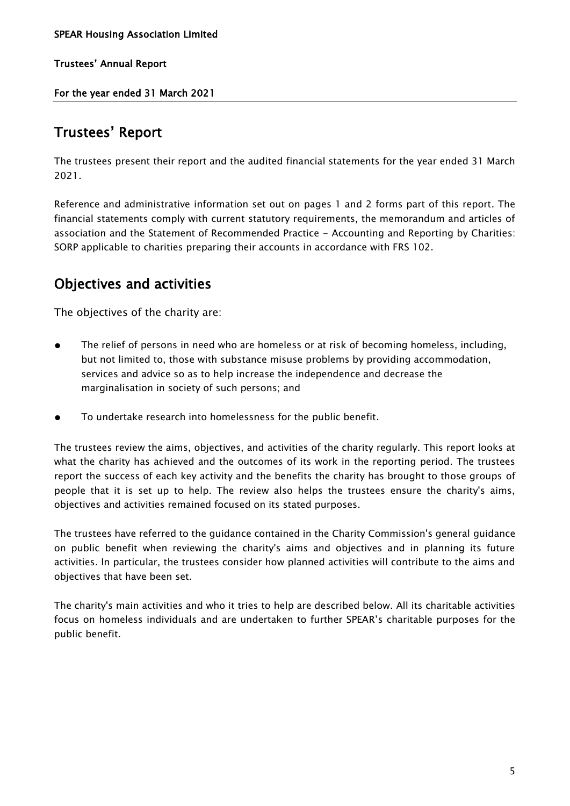For the year ended 31 March 2021

# Trustees' Report

The trustees present their report and the audited financial statements for the year ended 31 March 2021.

Reference and administrative information set out on pages 1 and 2 forms part of this report. The financial statements comply with current statutory requirements, the memorandum and articles of association and the Statement of Recommended Practice - Accounting and Reporting by Charities: SORP applicable to charities preparing their accounts in accordance with FRS 102.

# Objectives and activities

The objectives of the charity are:

- The relief of persons in need who are homeless or at risk of becoming homeless, including, but not limited to, those with substance misuse problems by providing accommodation, services and advice so as to help increase the independence and decrease the marginalisation in society of such persons; and
- To undertake research into homelessness for the public benefit.

The trustees review the aims, objectives, and activities of the charity regularly. This report looks at what the charity has achieved and the outcomes of its work in the reporting period. The trustees report the success of each key activity and the benefits the charity has brought to those groups of people that it is set up to help. The review also helps the trustees ensure the charity's aims, objectives and activities remained focused on its stated purposes.

The trustees have referred to the guidance contained in the Charity Commission's general guidance on public benefit when reviewing the charity's aims and objectives and in planning its future activities. In particular, the trustees consider how planned activities will contribute to the aims and objectives that have been set.

The charity's main activities and who it tries to help are described below. All its charitable activities focus on homeless individuals and are undertaken to further SPEAR's charitable purposes for the public benefit.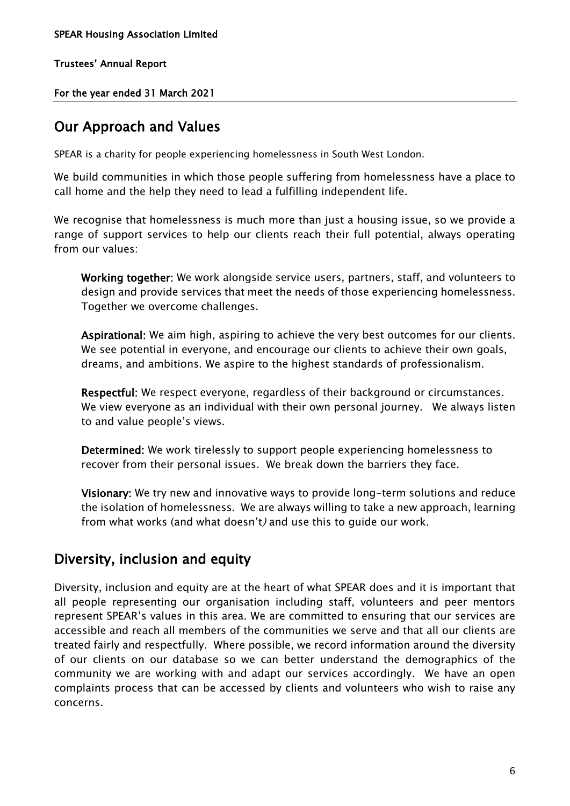For the year ended 31 March 2021

# Our Approach and Values

SPEAR is a charity for people experiencing homelessness in South West London.

We build communities in which those people suffering from homelessness have a place to call home and the help they need to lead a fulfilling independent life.

We recognise that homelessness is much more than just a housing issue, so we provide a range of support services to help our clients reach their full potential, always operating from our values:

 Working together: We work alongside service users, partners, staff, and volunteers to design and provide services that meet the needs of those experiencing homelessness. Together we overcome challenges.

 Aspirational: We aim high, aspiring to achieve the very best outcomes for our clients. We see potential in everyone, and encourage our clients to achieve their own goals, dreams, and ambitions. We aspire to the highest standards of professionalism.

 Respectful: We respect everyone, regardless of their background or circumstances. We view everyone as an individual with their own personal journey. We always listen to and value people's views.

 Determined: We work tirelessly to support people experiencing homelessness to recover from their personal issues. We break down the barriers they face.

 Visionary: We try new and innovative ways to provide long-term solutions and reduce the isolation of homelessness. We are always willing to take a new approach, learning from what works (and what doesn't) and use this to guide our work.

# Diversity, inclusion and equity

Diversity, inclusion and equity are at the heart of what SPEAR does and it is important that all people representing our organisation including staff, volunteers and peer mentors represent SPEAR's values in this area. We are committed to ensuring that our services are accessible and reach all members of the communities we serve and that all our clients are treated fairly and respectfully. Where possible, we record information around the diversity of our clients on our database so we can better understand the demographics of the community we are working with and adapt our services accordingly. We have an open complaints process that can be accessed by clients and volunteers who wish to raise any concerns.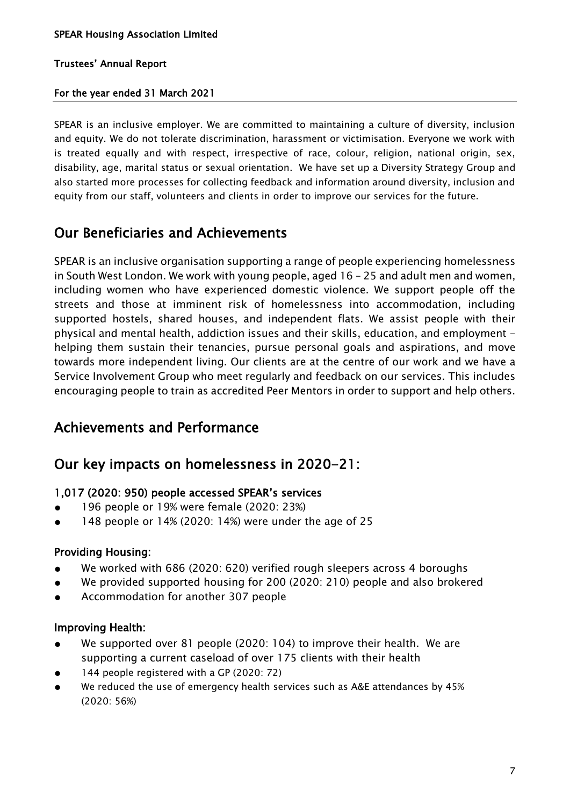# For the year ended 31 March 2021

SPEAR is an inclusive employer. We are committed to maintaining a culture of diversity, inclusion and equity. We do not tolerate discrimination, harassment or victimisation. Everyone we work with is treated equally and with respect, irrespective of race, colour, religion, national origin, sex, disability, age, marital status or sexual orientation. We have set up a Diversity Strategy Group and also started more processes for collecting feedback and information around diversity, inclusion and equity from our staff, volunteers and clients in order to improve our services for the future.

# Our Beneficiaries and Achievements

SPEAR is an inclusive organisation supporting a range of people experiencing homelessness in South West London. We work with young people, aged 16 – 25 and adult men and women, including women who have experienced domestic violence. We support people off the streets and those at imminent risk of homelessness into accommodation, including supported hostels, shared houses, and independent flats. We assist people with their physical and mental health, addiction issues and their skills, education, and employment helping them sustain their tenancies, pursue personal goals and aspirations, and move towards more independent living. Our clients are at the centre of our work and we have a Service Involvement Group who meet regularly and feedback on our services. This includes encouraging people to train as accredited Peer Mentors in order to support and help others.

# Achievements and Performance

# Our key impacts on homelessness in 2020-21:

# 1,017 (2020: 950) people accessed SPEAR's services

- 196 people or 19% were female (2020: 23%)
- 148 people or 14% (2020: 14%) were under the age of 25

# Providing Housing:

- We worked with 686 (2020: 620) verified rough sleepers across 4 boroughs
- We provided supported housing for 200 (2020: 210) people and also brokered
- Accommodation for another 307 people

# Improving Health:

- We supported over 81 people (2020: 104) to improve their health. We are supporting a current caseload of over 175 clients with their health
- 144 people registered with a GP (2020: 72)
- We reduced the use of emergency health services such as A&E attendances by 45% (2020: 56%)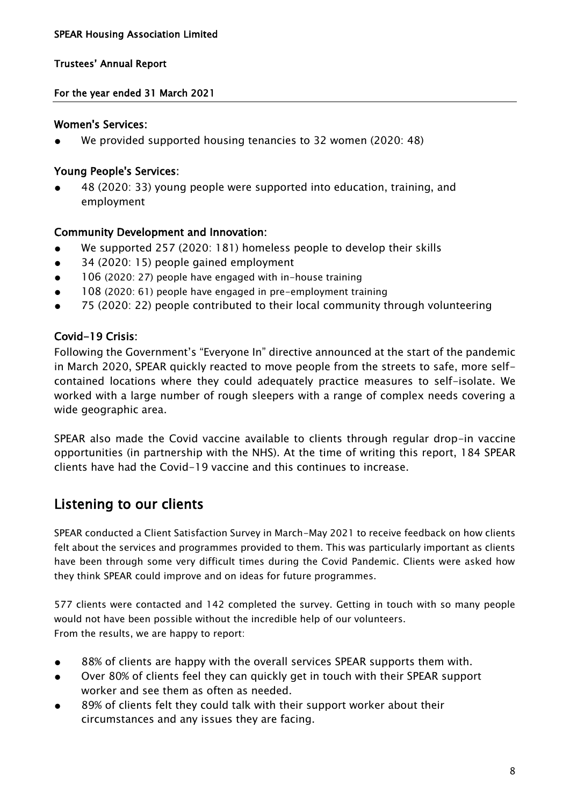# For the year ended 31 March 2021

# Women's Services:

We provided supported housing tenancies to 32 women (2020: 48)

# Young People's Services:

48 (2020: 33) young people were supported into education, training, and employment

# Community Development and Innovation:

- We supported 257 (2020: 181) homeless people to develop their skills
- 34 (2020: 15) people gained employment
- 106 (2020: 27) people have engaged with in-house training
- 108 (2020: 61) people have engaged in pre-employment training
- 75 (2020: 22) people contributed to their local community through volunteering

# Covid-19 Crisis:

Following the Government's "Everyone In" directive announced at the start of the pandemic in March 2020, SPEAR quickly reacted to move people from the streets to safe, more selfcontained locations where they could adequately practice measures to self-isolate. We worked with a large number of rough sleepers with a range of complex needs covering a wide geographic area.

SPEAR also made the Covid vaccine available to clients through regular drop-in vaccine opportunities (in partnership with the NHS). At the time of writing this report, 184 SPEAR clients have had the Covid-19 vaccine and this continues to increase.

# Listening to our clients

SPEAR conducted a Client Satisfaction Survey in March-May 2021 to receive feedback on how clients felt about the services and programmes provided to them. This was particularly important as clients have been through some very difficult times during the Covid Pandemic. Clients were asked how they think SPEAR could improve and on ideas for future programmes.

577 clients were contacted and 142 completed the survey. Getting in touch with so many people would not have been possible without the incredible help of our volunteers. From the results, we are happy to report:

- 88% of clients are happy with the overall services SPEAR supports them with.
- Over 80% of clients feel they can quickly get in touch with their SPEAR support worker and see them as often as needed.
- 89% of clients felt they could talk with their support worker about their circumstances and any issues they are facing.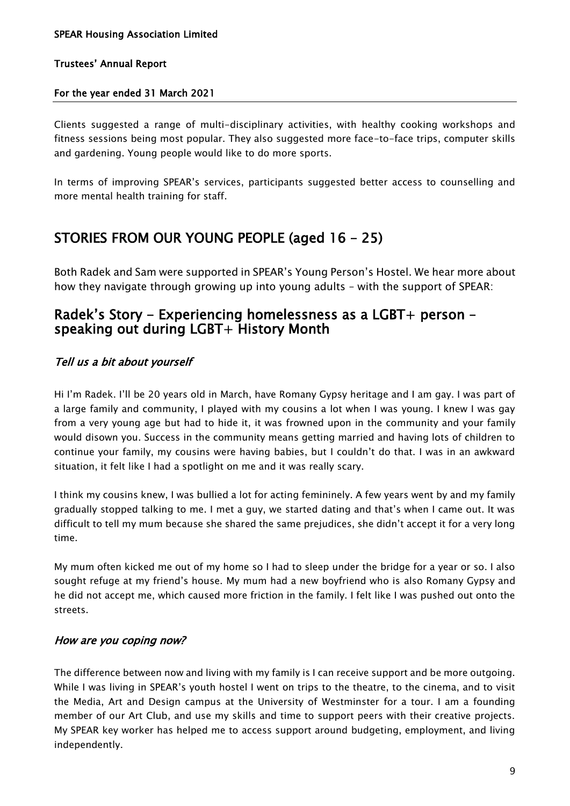# For the year ended 31 March 2021

Clients suggested a range of multi-disciplinary activities, with healthy cooking workshops and fitness sessions being most popular. They also suggested more face-to-face trips, computer skills and gardening. Young people would like to do more sports.

In terms of improving SPEAR's services, participants suggested better access to counselling and more mental health training for staff.

# STORIES FROM OUR YOUNG PEOPLE (aged 16 – 25)

Both Radek and Sam were supported in SPEAR's Young Person's Hostel. We hear more about how they navigate through growing up into young adults – with the support of SPEAR:

# Radek's Story - Experiencing homelessness as a LGBT+ person – speaking out during LGBT+ History Month

# Tell us a bit about yourself

Hi I'm Radek. I'll be 20 years old in March, have Romany Gypsy heritage and I am gay. I was part of a large family and community, I played with my cousins a lot when I was young. I knew I was gay from a very young age but had to hide it, it was frowned upon in the community and your family would disown you. Success in the community means getting married and having lots of children to continue your family, my cousins were having babies, but I couldn't do that. I was in an awkward situation, it felt like I had a spotlight on me and it was really scary.

I think my cousins knew, I was bullied a lot for acting femininely. A few years went by and my family gradually stopped talking to me. I met a guy, we started dating and that's when I came out. It was difficult to tell my mum because she shared the same prejudices, she didn't accept it for a very long time.

My mum often kicked me out of my home so I had to sleep under the bridge for a year or so. I also sought refuge at my friend's house. My mum had a new boyfriend who is also Romany Gypsy and he did not accept me, which caused more friction in the family. I felt like I was pushed out onto the streets.

# How are you coping now?

The difference between now and living with my family is I can receive support and be more outgoing. While I was living in SPEAR's youth hostel I went on trips to the theatre, to the cinema, and to visit the Media, Art and Design campus at the University of Westminster for a tour. I am a founding member of our Art Club, and use my skills and time to support peers with their creative projects. My SPEAR key worker has helped me to access support around budgeting, employment, and living independently.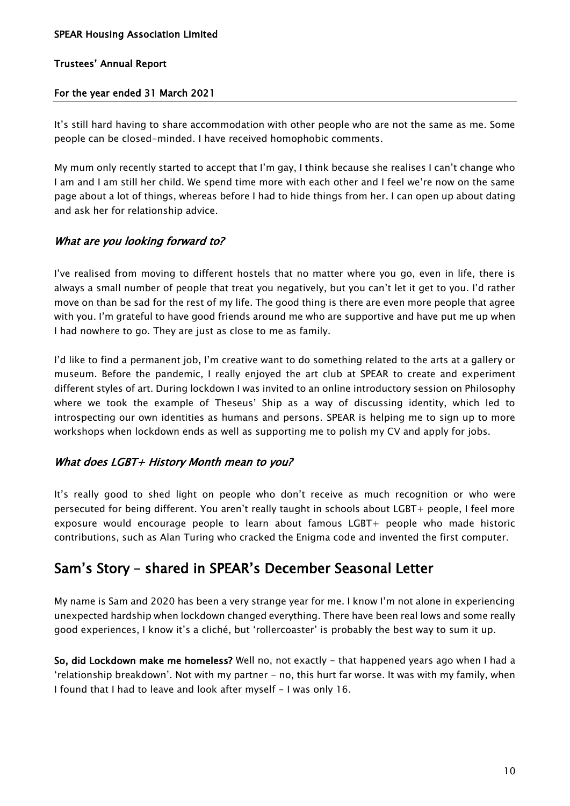# For the year ended 31 March 2021

It's still hard having to share accommodation with other people who are not the same as me. Some people can be closed-minded. I have received homophobic comments.

My mum only recently started to accept that I'm gay, I think because she realises I can't change who I am and I am still her child. We spend time more with each other and I feel we're now on the same page about a lot of things, whereas before I had to hide things from her. I can open up about dating and ask her for relationship advice.

# What are you looking forward to?

I've realised from moving to different hostels that no matter where you go, even in life, there is always a small number of people that treat you negatively, but you can't let it get to you. I'd rather move on than be sad for the rest of my life. The good thing is there are even more people that agree with you. I'm grateful to have good friends around me who are supportive and have put me up when I had nowhere to go. They are just as close to me as family.

I'd like to find a permanent job, I'm creative want to do something related to the arts at a gallery or museum. Before the pandemic, I really enjoyed the art club at SPEAR to create and experiment different styles of art. During lockdown I was invited to an online introductory session on Philosophy where we took the example of Theseus' Ship as a way of discussing identity, which led to introspecting our own identities as humans and persons. SPEAR is helping me to sign up to more workshops when lockdown ends as well as supporting me to polish my CV and apply for jobs.

# What does LGBT+ History Month mean to you?

It's really good to shed light on people who don't receive as much recognition or who were persecuted for being different. You aren't really taught in schools about LGBT+ people, I feel more exposure would encourage people to learn about famous LGBT+ people who made historic contributions, such as Alan Turing who cracked the Enigma code and invented the first computer.

# Sam's Story – shared in SPEAR's December Seasonal Letter

My name is Sam and 2020 has been a very strange year for me. I know I'm not alone in experiencing unexpected hardship when lockdown changed everything. There have been real lows and some really good experiences, I know it's a cliché, but 'rollercoaster' is probably the best way to sum it up.

So, did Lockdown make me homeless? Well no, not exactly - that happened years ago when I had a 'relationship breakdown'. Not with my partner - no, this hurt far worse. It was with my family, when I found that I had to leave and look after myself - I was only 16.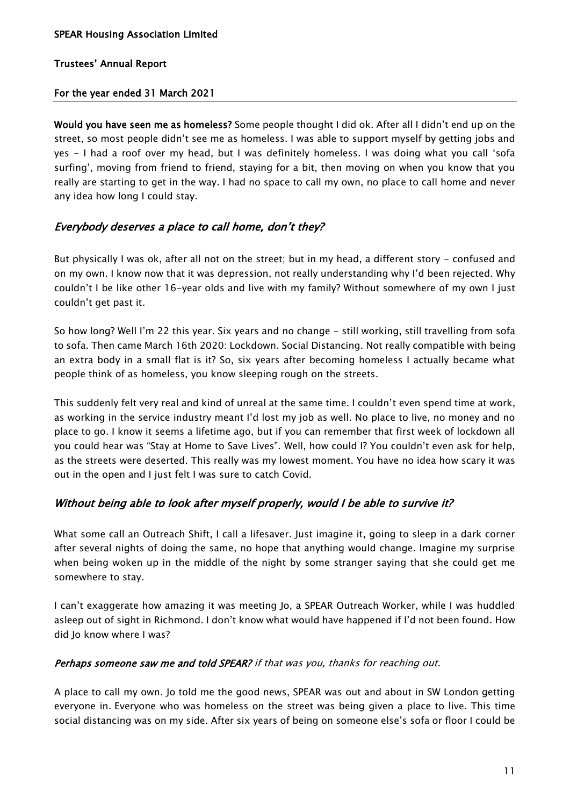# For the year ended 31 March 2021

Would you have seen me as homeless? Some people thought I did ok. After all I didn't end up on the street, so most people didn't see me as homeless. I was able to support myself by getting jobs and yes - I had a roof over my head, but I was definitely homeless. I was doing what you call 'sofa surfing', moving from friend to friend, staying for a bit, then moving on when you know that you really are starting to get in the way. I had no space to call my own, no place to call home and never any idea how long I could stay.

# Everybody deserves a place to call home, don't they?

But physically I was ok, after all not on the street; but in my head, a different story - confused and on my own. I know now that it was depression, not really understanding why I'd been rejected. Why couldn't I be like other 16-year olds and live with my family? Without somewhere of my own I just couldn't get past it.

So how long? Well I'm 22 this year. Six years and no change - still working, still travelling from sofa to sofa. Then came March 16th 2020: Lockdown. Social Distancing. Not really compatible with being an extra body in a small flat is it? So, six years after becoming homeless I actually became what people think of as homeless, you know sleeping rough on the streets.

This suddenly felt very real and kind of unreal at the same time. I couldn't even spend time at work, as working in the service industry meant I'd lost my job as well. No place to live, no money and no place to go. I know it seems a lifetime ago, but if you can remember that first week of lockdown all you could hear was "Stay at Home to Save Lives". Well, how could I? You couldn't even ask for help, as the streets were deserted. This really was my lowest moment. You have no idea how scary it was out in the open and I just felt I was sure to catch Covid.

# Without being able to look after myself properly, would I be able to survive it?

What some call an Outreach Shift, I call a lifesaver. Just imagine it, going to sleep in a dark corner after several nights of doing the same, no hope that anything would change. Imagine my surprise when being woken up in the middle of the night by some stranger saying that she could get me somewhere to stay.

I can't exaggerate how amazing it was meeting Jo, a SPEAR Outreach Worker, while I was huddled asleep out of sight in Richmond. I don't know what would have happened if I'd not been found. How did Jo know where I was?

# Perhaps someone saw me and told SPEAR? if that was you, thanks for reaching out.

A place to call my own. Jo told me the good news, SPEAR was out and about in SW London getting everyone in. Everyone who was homeless on the street was being given a place to live. This time social distancing was on my side. After six years of being on someone else's sofa or floor I could be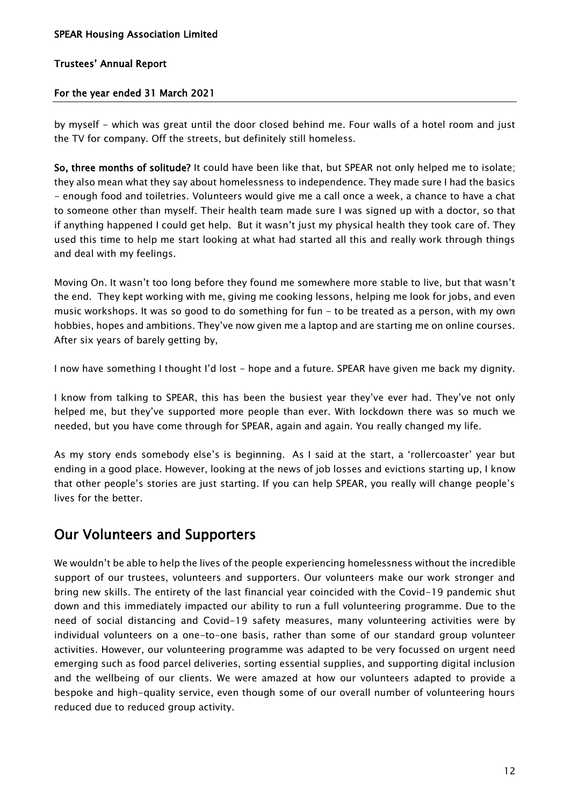# For the year ended 31 March 2021

by myself - which was great until the door closed behind me. Four walls of a hotel room and just the TV for company. Off the streets, but definitely still homeless.

So, three months of solitude? It could have been like that, but SPEAR not only helped me to isolate; they also mean what they say about homelessness to independence. They made sure I had the basics - enough food and toiletries. Volunteers would give me a call once a week, a chance to have a chat to someone other than myself. Their health team made sure I was signed up with a doctor, so that if anything happened I could get help. But it wasn't just my physical health they took care of. They used this time to help me start looking at what had started all this and really work through things and deal with my feelings.

Moving On. It wasn't too long before they found me somewhere more stable to live, but that wasn't the end. They kept working with me, giving me cooking lessons, helping me look for jobs, and even music workshops. It was so good to do something for fun - to be treated as a person, with my own hobbies, hopes and ambitions. They've now given me a laptop and are starting me on online courses. After six years of barely getting by,

I now have something I thought I'd lost - hope and a future. SPEAR have given me back my dignity.

I know from talking to SPEAR, this has been the busiest year they've ever had. They've not only helped me, but they've supported more people than ever. With lockdown there was so much we needed, but you have come through for SPEAR, again and again. You really changed my life.

As my story ends somebody else's is beginning. As I said at the start, a 'rollercoaster' year but ending in a good place. However, looking at the news of job losses and evictions starting up, I know that other people's stories are just starting. If you can help SPEAR, you really will change people's lives for the better.

# Our Volunteers and Supporters

We wouldn't be able to help the lives of the people experiencing homelessness without the incredible support of our trustees, volunteers and supporters. Our volunteers make our work stronger and bring new skills. The entirety of the last financial year coincided with the Covid-19 pandemic shut down and this immediately impacted our ability to run a full volunteering programme. Due to the need of social distancing and Covid-19 safety measures, many volunteering activities were by individual volunteers on a one-to-one basis, rather than some of our standard group volunteer activities. However, our volunteering programme was adapted to be very focussed on urgent need emerging such as food parcel deliveries, sorting essential supplies, and supporting digital inclusion and the wellbeing of our clients. We were amazed at how our volunteers adapted to provide a bespoke and high-quality service, even though some of our overall number of volunteering hours reduced due to reduced group activity.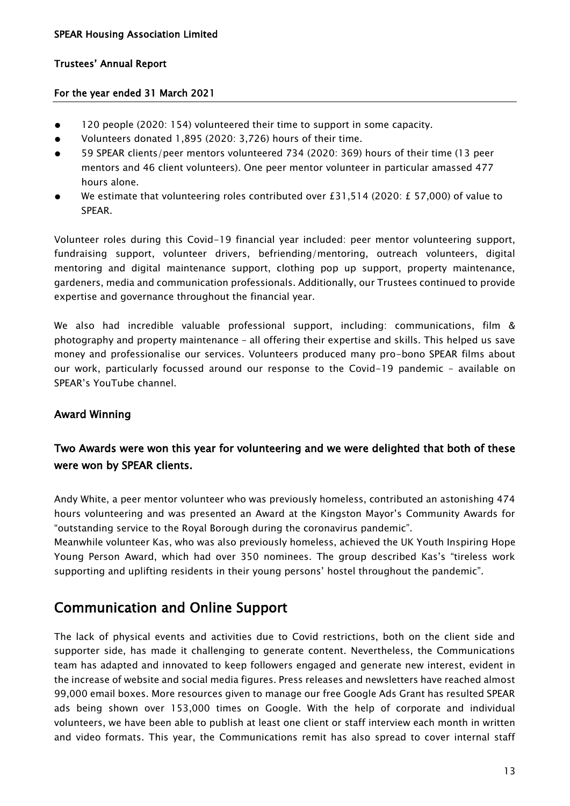# For the year ended 31 March 2021

- 120 people (2020: 154) volunteered their time to support in some capacity.
- Volunteers donated 1,895 (2020: 3,726) hours of their time.
- 59 SPEAR clients/peer mentors volunteered 734 (2020: 369) hours of their time (13 peer mentors and 46 client volunteers). One peer mentor volunteer in particular amassed 477 hours alone.
- We estimate that volunteering roles contributed over £31,514 (2020: £ 57,000) of value to SPEAR.

Volunteer roles during this Covid-19 financial year included: peer mentor volunteering support, fundraising support, volunteer drivers, befriending/mentoring, outreach volunteers, digital mentoring and digital maintenance support, clothing pop up support, property maintenance, gardeners, media and communication professionals. Additionally, our Trustees continued to provide expertise and governance throughout the financial year.

We also had incredible valuable professional support, including: communications, film & photography and property maintenance – all offering their expertise and skills. This helped us save money and professionalise our services. Volunteers produced many pro-bono SPEAR films about our work, particularly focussed around our response to the Covid-19 pandemic – available on SPEAR's YouTube channel.

# Award Winning

# Two Awards were won this year for volunteering and we were delighted that both of these were won by SPEAR clients.

Andy White, a peer mentor volunteer who was previously homeless, contributed an astonishing 474 hours volunteering and was presented an Award at the Kingston Mayor's Community Awards for "outstanding service to the Royal Borough during the coronavirus pandemic".

Meanwhile volunteer Kas, who was also previously homeless, achieved the UK Youth Inspiring Hope Young Person Award, which had over 350 nominees. The group described Kas's "tireless work supporting and uplifting residents in their young persons' hostel throughout the pandemic".

# Communication and Online Support

The lack of physical events and activities due to Covid restrictions, both on the client side and supporter side, has made it challenging to generate content. Nevertheless, the Communications team has adapted and innovated to keep followers engaged and generate new interest, evident in the increase of website and social media figures. Press releases and newsletters have reached almost 99,000 email boxes. More resources given to manage our free Google Ads Grant has resulted SPEAR ads being shown over 153,000 times on Google. With the help of corporate and individual volunteers, we have been able to publish at least one client or staff interview each month in written and video formats. This year, the Communications remit has also spread to cover internal staff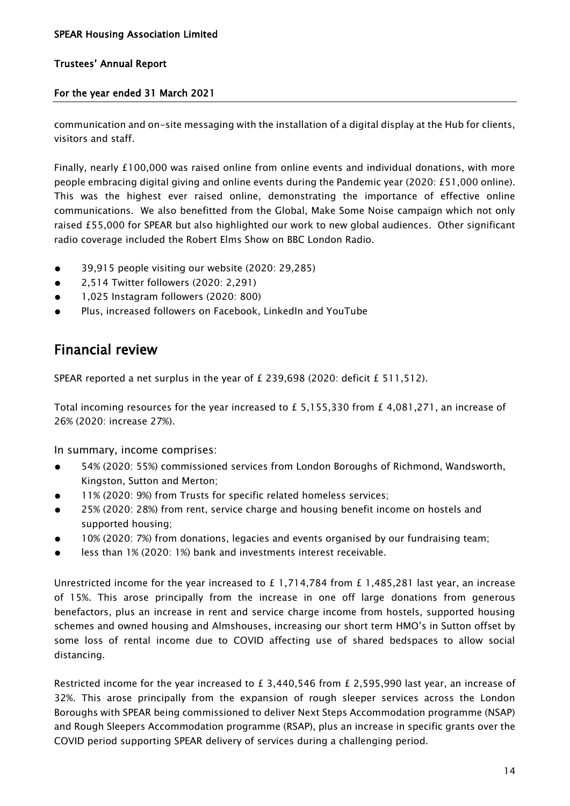# For the year ended 31 March 2021

communication and on-site messaging with the installation of a digital display at the Hub for clients, visitors and staff.

Finally, nearly £100,000 was raised online from online events and individual donations, with more people embracing digital giving and online events during the Pandemic year (2020: £51,000 online). This was the highest ever raised online, demonstrating the importance of effective online communications. We also benefitted from the Global, Make Some Noise campaign which not only raised £55,000 for SPEAR but also highlighted our work to new global audiences. Other significant radio coverage included the Robert Elms Show on BBC London Radio.

- 39.915 people visiting our website (2020: 29.285)
- 2,514 Twitter followers (2020: 2,291)
- 1,025 Instagram followers (2020: 800)
- Plus, increased followers on Facebook, LinkedIn and YouTube

# Financial review

SPEAR reported a net surplus in the year of  $E$  239,698 (2020: deficit  $E$  511,512).

Total incoming resources for the year increased to £ 5,155,330 from £ 4,081,271, an increase of 26% (2020: increase 27%).

In summary, income comprises:

- 54% (2020: 55%) commissioned services from London Boroughs of Richmond, Wandsworth, Kingston, Sutton and Merton;
- 11% (2020: 9%) from Trusts for specific related homeless services;
- 25% (2020: 28%) from rent, service charge and housing benefit income on hostels and supported housing;
- 10% (2020: 7%) from donations, legacies and events organised by our fundraising team;
- less than 1% (2020: 1%) bank and investments interest receivable.

Unrestricted income for the year increased to £ 1,714,784 from £ 1,485,281 last year, an increase of 15%. This arose principally from the increase in one off large donations from generous benefactors, plus an increase in rent and service charge income from hostels, supported housing schemes and owned housing and Almshouses, increasing our short term HMO's in Sutton offset by some loss of rental income due to COVID affecting use of shared bedspaces to allow social distancing.

Restricted income for the year increased to £3,440,546 from £2,595,990 last year, an increase of 32%. This arose principally from the expansion of rough sleeper services across the London Boroughs with SPEAR being commissioned to deliver Next Steps Accommodation programme (NSAP) and Rough Sleepers Accommodation programme (RSAP), plus an increase in specific grants over the COVID period supporting SPEAR delivery of services during a challenging period.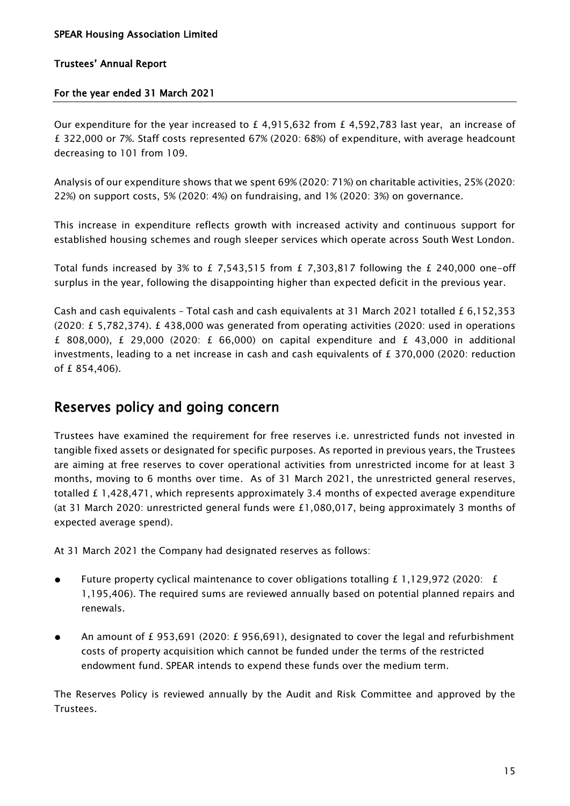# For the year ended 31 March 2021

Our expenditure for the year increased to  $£ 4,915,632$  from  $£ 4,592,783$  last year, an increase of £ 322,000 or 7%. Staff costs represented 67% (2020: 68%) of expenditure, with average headcount decreasing to 101 from 109.

Analysis of our expenditure shows that we spent 69% (2020: 71%) on charitable activities, 25% (2020: 22%) on support costs, 5% (2020: 4%) on fundraising, and 1% (2020: 3%) on governance.

This increase in expenditure reflects growth with increased activity and continuous support for established housing schemes and rough sleeper services which operate across South West London.

Total funds increased by 3% to £ 7.543.515 from £ 7.303.817 following the £ 240.000 one-off surplus in the year, following the disappointing higher than expected deficit in the previous year.

Cash and cash equivalents - Total cash and cash equivalents at 31 March 2021 totalled £ 6,152,353 (2020: £ 5,782,374). £ 438,000 was generated from operating activities (2020: used in operations £ 808,000), £ 29,000 (2020: £ 66,000) on capital expenditure and £ 43,000 in additional investments, leading to a net increase in cash and cash equivalents of  $E$  370,000 (2020: reduction of £ 854,406).

# Reserves policy and going concern

Trustees have examined the requirement for free reserves i.e. unrestricted funds not invested in tangible fixed assets or designated for specific purposes. As reported in previous years, the Trustees are aiming at free reserves to cover operational activities from unrestricted income for at least 3 months, moving to 6 months over time. As of 31 March 2021, the unrestricted general reserves, totalled £ 1,428,471, which represents approximately 3.4 months of expected average expenditure (at 31 March 2020: unrestricted general funds were £1,080,017, being approximately 3 months of expected average spend).

At 31 March 2021 the Company had designated reserves as follows:

- Future property cyclical maintenance to cover obligations totalling  $E$  1,129,972 (2020:  $E$ 1,195,406). The required sums are reviewed annually based on potential planned repairs and renewals.
- An amount of £ 953,691 (2020: £ 956,691), designated to cover the legal and refurbishment costs of property acquisition which cannot be funded under the terms of the restricted endowment fund. SPEAR intends to expend these funds over the medium term.

The Reserves Policy is reviewed annually by the Audit and Risk Committee and approved by the Trustees.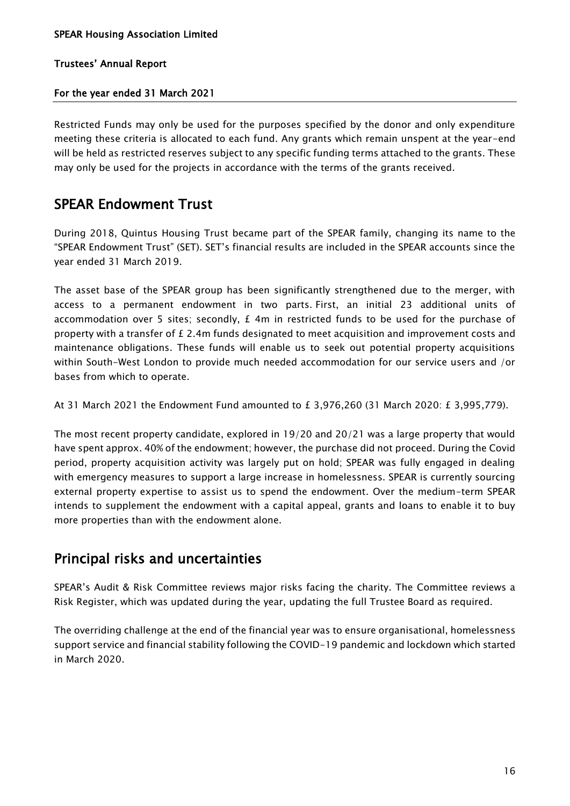# For the year ended 31 March 2021

Restricted Funds may only be used for the purposes specified by the donor and only expenditure meeting these criteria is allocated to each fund. Any grants which remain unspent at the year-end will be held as restricted reserves subject to any specific funding terms attached to the grants. These may only be used for the projects in accordance with the terms of the grants received.

# SPEAR Endowment Trust

During 2018, Quintus Housing Trust became part of the SPEAR family, changing its name to the "SPEAR Endowment Trust" (SET). SET's financial results are included in the SPEAR accounts since the year ended 31 March 2019.

The asset base of the SPEAR group has been significantly strengthened due to the merger, with access to a permanent endowment in two parts. First, an initial 23 additional units of accommodation over 5 sites; secondly,  $E$  4m in restricted funds to be used for the purchase of property with a transfer of £ 2.4m funds designated to meet acquisition and improvement costs and maintenance obligations. These funds will enable us to seek out potential property acquisitions within South-West London to provide much needed accommodation for our service users and /or bases from which to operate.

At 31 March 2021 the Endowment Fund amounted to £ 3,976,260 (31 March 2020: £ 3,995,779).

The most recent property candidate, explored in 19/20 and 20/21 was a large property that would have spent approx. 40% of the endowment; however, the purchase did not proceed. During the Covid period, property acquisition activity was largely put on hold; SPEAR was fully engaged in dealing with emergency measures to support a large increase in homelessness. SPEAR is currently sourcing external property expertise to assist us to spend the endowment. Over the medium-term SPEAR intends to supplement the endowment with a capital appeal, grants and loans to enable it to buy more properties than with the endowment alone.

# Principal risks and uncertainties

SPEAR's Audit & Risk Committee reviews major risks facing the charity. The Committee reviews a Risk Register, which was updated during the year, updating the full Trustee Board as required.

The overriding challenge at the end of the financial year was to ensure organisational, homelessness support service and financial stability following the COVID-19 pandemic and lockdown which started in March 2020.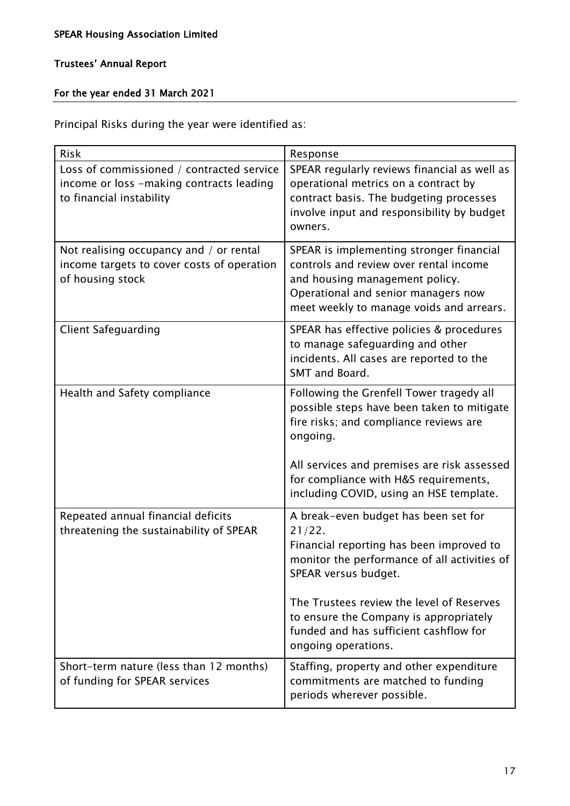# For the year ended 31 March 2021

Principal Risks during the year were identified as:

| <b>Risk</b>                                                                                                       | Response                                                                                                                                                                                                                             |
|-------------------------------------------------------------------------------------------------------------------|--------------------------------------------------------------------------------------------------------------------------------------------------------------------------------------------------------------------------------------|
| Loss of commissioned / contracted service<br>income or loss -making contracts leading<br>to financial instability | SPEAR regularly reviews financial as well as<br>operational metrics on a contract by<br>contract basis. The budgeting processes<br>involve input and responsibility by budget<br>owners.                                             |
| Not realising occupancy and / or rental<br>income targets to cover costs of operation<br>of housing stock         | SPEAR is implementing stronger financial<br>controls and review over rental income<br>and housing management policy.<br>Operational and senior managers now<br>meet weekly to manage voids and arrears.                              |
| <b>Client Safeguarding</b>                                                                                        | SPEAR has effective policies & procedures<br>to manage safeguarding and other<br>incidents. All cases are reported to the<br>SMT and Board.                                                                                          |
| Health and Safety compliance                                                                                      | Following the Grenfell Tower tragedy all<br>possible steps have been taken to mitigate<br>fire risks; and compliance reviews are<br>ongoing.<br>All services and premises are risk assessed<br>for compliance with H&S requirements, |
|                                                                                                                   | including COVID, using an HSE template.                                                                                                                                                                                              |
| Repeated annual financial deficits<br>threatening the sustainability of SPEAR                                     | A break-even budget has been set for<br>21/22.<br>Financial reporting has been improved to<br>monitor the performance of all activities of<br>SPEAR versus budget.<br>The Trustees review the level of Reserves                      |
|                                                                                                                   | to ensure the Company is appropriately<br>funded and has sufficient cashflow for<br>ongoing operations.                                                                                                                              |
| Short-term nature (less than 12 months)<br>of funding for SPEAR services                                          | Staffing, property and other expenditure<br>commitments are matched to funding<br>periods wherever possible.                                                                                                                         |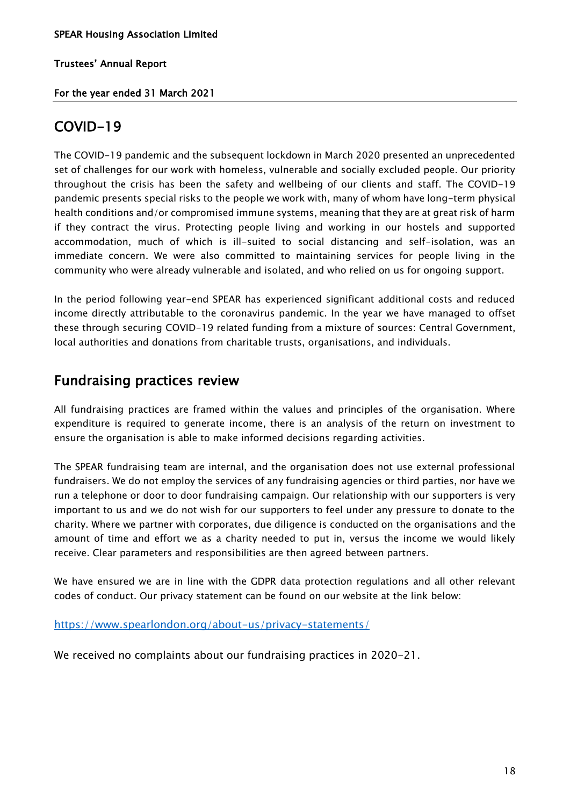# For the year ended 31 March 2021

# COVID-19

The COVID-19 pandemic and the subsequent lockdown in March 2020 presented an unprecedented set of challenges for our work with homeless, vulnerable and socially excluded people. Our priority throughout the crisis has been the safety and wellbeing of our clients and staff. The COVID-19 pandemic presents special risks to the people we work with, many of whom have long-term physical health conditions and/or compromised immune systems, meaning that they are at great risk of harm if they contract the virus. Protecting people living and working in our hostels and supported accommodation, much of which is ill-suited to social distancing and self-isolation, was an immediate concern. We were also committed to maintaining services for people living in the community who were already vulnerable and isolated, and who relied on us for ongoing support.

In the period following year-end SPEAR has experienced significant additional costs and reduced income directly attributable to the coronavirus pandemic. In the year we have managed to offset these through securing COVID-19 related funding from a mixture of sources: Central Government, local authorities and donations from charitable trusts, organisations, and individuals.

# Fundraising practices review

All fundraising practices are framed within the values and principles of the organisation. Where expenditure is required to generate income, there is an analysis of the return on investment to ensure the organisation is able to make informed decisions regarding activities.

The SPEAR fundraising team are internal, and the organisation does not use external professional fundraisers. We do not employ the services of any fundraising agencies or third parties, nor have we run a telephone or door to door fundraising campaign. Our relationship with our supporters is very important to us and we do not wish for our supporters to feel under any pressure to donate to the charity. Where we partner with corporates, due diligence is conducted on the organisations and the amount of time and effort we as a charity needed to put in, versus the income we would likely receive. Clear parameters and responsibilities are then agreed between partners.

We have ensured we are in line with the GDPR data protection regulations and all other relevant codes of conduct. Our privacy statement can be found on our website at the link below:

<https://www.spearlondon.org/about-us/privacy-statements/>

We received no complaints about our fundraising practices in 2020-21.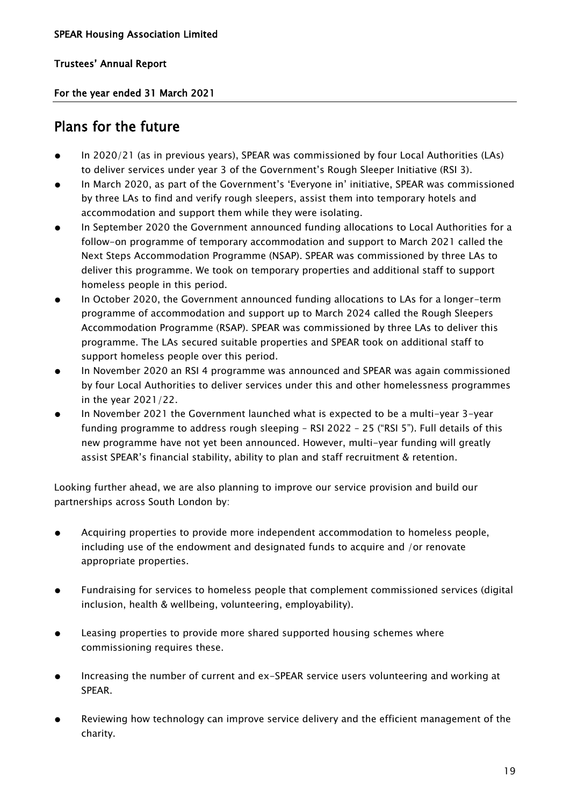For the year ended 31 March 2021

# Plans for the future

- In 2020/21 (as in previous years), SPEAR was commissioned by four Local Authorities (LAs) to deliver services under year 3 of the Government's Rough Sleeper Initiative (RSI 3).
- In March 2020, as part of the Government's 'Everyone in' initiative, SPEAR was commissioned by three LAs to find and verify rough sleepers, assist them into temporary hotels and accommodation and support them while they were isolating.
- In September 2020 the Government announced funding allocations to Local Authorities for a follow-on programme of temporary accommodation and support to March 2021 called the Next Steps Accommodation Programme (NSAP). SPEAR was commissioned by three LAs to deliver this programme. We took on temporary properties and additional staff to support homeless people in this period.
- In October 2020, the Government announced funding allocations to LAs for a longer-term programme of accommodation and support up to March 2024 called the Rough Sleepers Accommodation Programme (RSAP). SPEAR was commissioned by three LAs to deliver this programme. The LAs secured suitable properties and SPEAR took on additional staff to support homeless people over this period.
- In November 2020 an RSI 4 programme was announced and SPEAR was again commissioned by four Local Authorities to deliver services under this and other homelessness programmes in the year 2021/22.
- In November 2021 the Government launched what is expected to be a multi-year 3-year funding programme to address rough sleeping – RSI 2022 – 25 ("RSI 5"). Full details of this new programme have not yet been announced. However, multi-year funding will greatly assist SPEAR's financial stability, ability to plan and staff recruitment & retention.

Looking further ahead, we are also planning to improve our service provision and build our partnerships across South London by:

- Acquiring properties to provide more independent accommodation to homeless people, including use of the endowment and designated funds to acquire and /or renovate appropriate properties.
- Fundraising for services to homeless people that complement commissioned services (digital inclusion, health & wellbeing, volunteering, employability).
- Leasing properties to provide more shared supported housing schemes where commissioning requires these.
- Increasing the number of current and ex-SPEAR service users volunteering and working at SPEAR.
- Reviewing how technology can improve service delivery and the efficient management of the charity.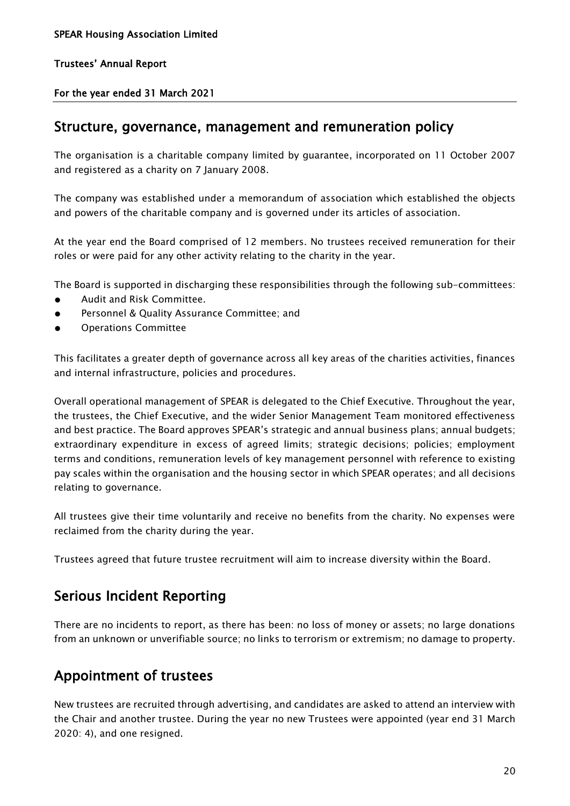For the year ended 31 March 2021

# Structure, governance, management and remuneration policy

The organisation is a charitable company limited by guarantee, incorporated on 11 October 2007 and registered as a charity on 7 January 2008.

The company was established under a memorandum of association which established the objects and powers of the charitable company and is governed under its articles of association.

At the year end the Board comprised of 12 members. No trustees received remuneration for their roles or were paid for any other activity relating to the charity in the year.

The Board is supported in discharging these responsibilities through the following sub-committees:

- Audit and Risk Committee.
- Personnel & Quality Assurance Committee; and
- Operations Committee

This facilitates a greater depth of governance across all key areas of the charities activities, finances and internal infrastructure, policies and procedures.

Overall operational management of SPEAR is delegated to the Chief Executive. Throughout the year, the trustees, the Chief Executive, and the wider Senior Management Team monitored effectiveness and best practice. The Board approves SPEAR's strategic and annual business plans; annual budgets; extraordinary expenditure in excess of agreed limits; strategic decisions; policies; employment terms and conditions, remuneration levels of key management personnel with reference to existing pay scales within the organisation and the housing sector in which SPEAR operates; and all decisions relating to governance.

All trustees give their time voluntarily and receive no benefits from the charity. No expenses were reclaimed from the charity during the year.

Trustees agreed that future trustee recruitment will aim to increase diversity within the Board.

# Serious Incident Reporting

There are no incidents to report, as there has been: no loss of money or assets; no large donations from an unknown or unverifiable source; no links to terrorism or extremism; no damage to property.

# Appointment of trustees

New trustees are recruited through advertising, and candidates are asked to attend an interview with the Chair and another trustee. During the year no new Trustees were appointed (year end 31 March 2020: 4), and one resigned.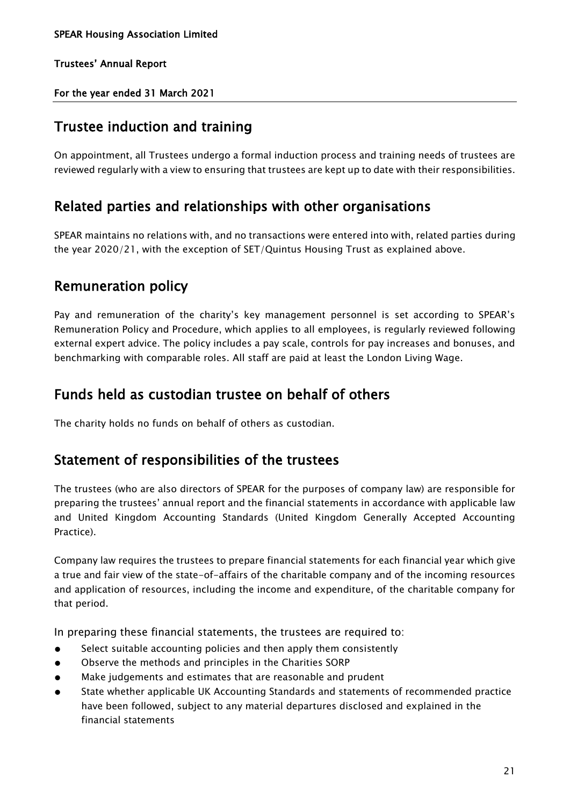For the year ended 31 March 2021

# Trustee induction and training

On appointment, all Trustees undergo a formal induction process and training needs of trustees are reviewed regularly with a view to ensuring that trustees are kept up to date with their responsibilities.

# Related parties and relationships with other organisations

SPEAR maintains no relations with, and no transactions were entered into with, related parties during the year 2020/21, with the exception of SET/Quintus Housing Trust as explained above.

# Remuneration policy

Pay and remuneration of the charity's key management personnel is set according to SPEAR's Remuneration Policy and Procedure, which applies to all employees, is regularly reviewed following external expert advice. The policy includes a pay scale, controls for pay increases and bonuses, and benchmarking with comparable roles. All staff are paid at least the London Living Wage.

# Funds held as custodian trustee on behalf of others

The charity holds no funds on behalf of others as custodian.

# Statement of responsibilities of the trustees

The trustees (who are also directors of SPEAR for the purposes of company law) are responsible for preparing the trustees' annual report and the financial statements in accordance with applicable law and United Kingdom Accounting Standards (United Kingdom Generally Accepted Accounting Practice).

Company law requires the trustees to prepare financial statements for each financial year which give a true and fair view of the state-of-affairs of the charitable company and of the incoming resources and application of resources, including the income and expenditure, of the charitable company for that period.

In preparing these financial statements, the trustees are required to:

- Select suitable accounting policies and then apply them consistently
- Observe the methods and principles in the Charities SORP
- Make judgements and estimates that are reasonable and prudent
- State whether applicable UK Accounting Standards and statements of recommended practice have been followed, subject to any material departures disclosed and explained in the financial statements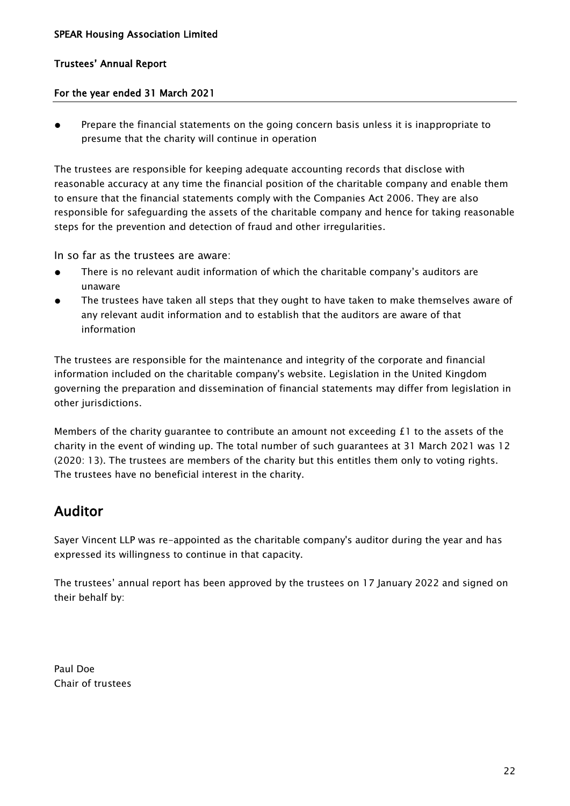# For the year ended 31 March 2021

● Prepare the financial statements on the going concern basis unless it is inappropriate to presume that the charity will continue in operation

The trustees are responsible for keeping adequate accounting records that disclose with reasonable accuracy at any time the financial position of the charitable company and enable them to ensure that the financial statements comply with the Companies Act 2006. They are also responsible for safeguarding the assets of the charitable company and hence for taking reasonable steps for the prevention and detection of fraud and other irregularities.

In so far as the trustees are aware:

- There is no relevant audit information of which the charitable company's auditors are unaware
- The trustees have taken all steps that they ought to have taken to make themselves aware of any relevant audit information and to establish that the auditors are aware of that information

The trustees are responsible for the maintenance and integrity of the corporate and financial information included on the charitable company's website. Legislation in the United Kingdom governing the preparation and dissemination of financial statements may differ from legislation in other jurisdictions.

Members of the charity guarantee to contribute an amount not exceeding  $E1$  to the assets of the charity in the event of winding up. The total number of such guarantees at 31 March 2021 was 12 (2020: 13). The trustees are members of the charity but this entitles them only to voting rights. The trustees have no beneficial interest in the charity.

# Auditor

Sayer Vincent LLP was re-appointed as the charitable company's auditor during the year and has expressed its willingness to continue in that capacity.

The trustees' annual report has been approved by the trustees on 17 January 2022 and signed on their behalf by:

Paul Doe Chair of trustees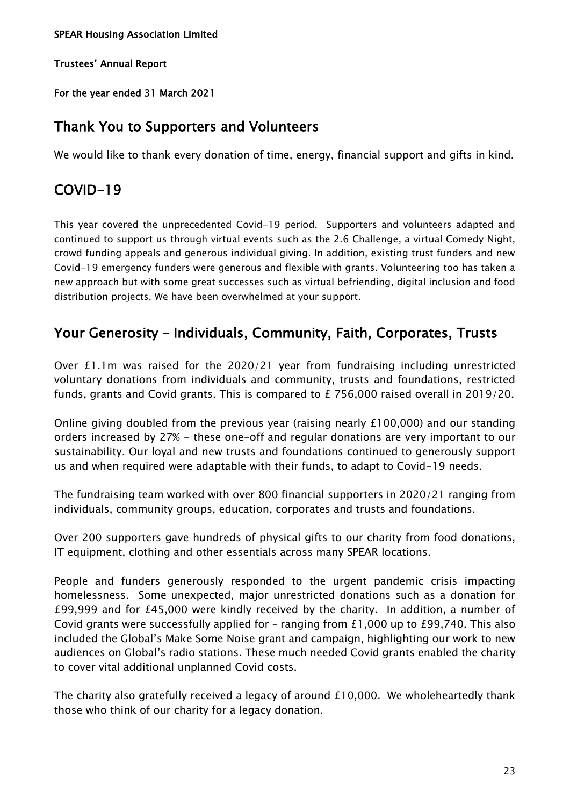For the year ended 31 March 2021

# Thank You to Supporters and Volunteers

We would like to thank every donation of time, energy, financial support and gifts in kind.

# COVID-19

This year covered the unprecedented Covid-19 period. Supporters and volunteers adapted and continued to support us through virtual events such as the 2.6 Challenge, a virtual Comedy Night, crowd funding appeals and generous individual giving. In addition, existing trust funders and new Covid-19 emergency funders were generous and flexible with grants. Volunteering too has taken a new approach but with some great successes such as virtual befriending, digital inclusion and food distribution projects. We have been overwhelmed at your support.

# Your Generosity – Individuals, Community, Faith, Corporates, Trusts

Over £1.1m was raised for the 2020/21 year from fundraising including unrestricted voluntary donations from individuals and community, trusts and foundations, restricted funds, grants and Covid grants. This is compared to £ 756,000 raised overall in 2019/20.

Online giving doubled from the previous year (raising nearly £100,000) and our standing orders increased by 27% - these one-off and regular donations are very important to our sustainability. Our loyal and new trusts and foundations continued to generously support us and when required were adaptable with their funds, to adapt to Covid-19 needs.

The fundraising team worked with over 800 financial supporters in 2020/21 ranging from individuals, community groups, education, corporates and trusts and foundations.

Over 200 supporters gave hundreds of physical gifts to our charity from food donations, IT equipment, clothing and other essentials across many SPEAR locations.

People and funders generously responded to the urgent pandemic crisis impacting homelessness. Some unexpected, major unrestricted donations such as a donation for £99,999 and for £45,000 were kindly received by the charity. In addition, a number of Covid grants were successfully applied for – ranging from £1,000 up to £99,740. This also included the Global's Make Some Noise grant and campaign, highlighting our work to new audiences on Global's radio stations. These much needed Covid grants enabled the charity to cover vital additional unplanned Covid costs.

The charity also gratefully received a legacy of around £10,000. We wholeheartedly thank those who think of our charity for a legacy donation.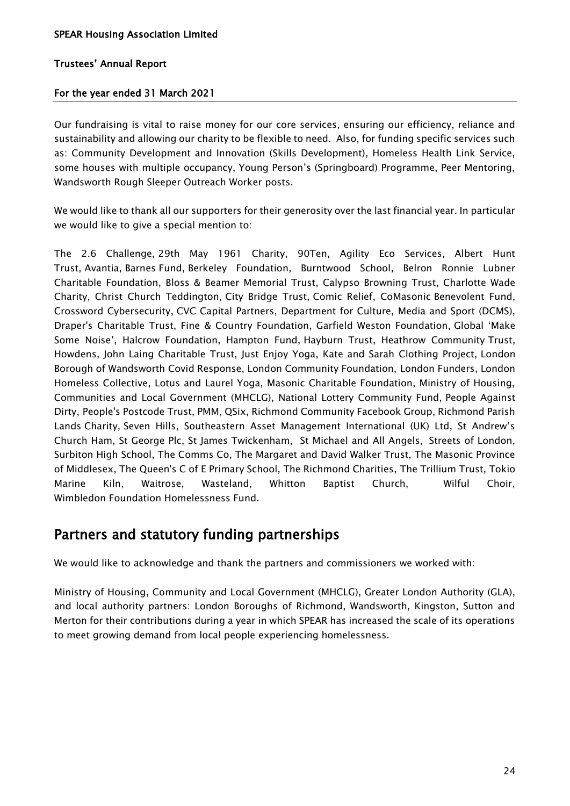# For the year ended 31 March 2021

Our fundraising is vital to raise money for our core services, ensuring our efficiency, reliance and sustainability and allowing our charity to be flexible to need. Also, for funding specific services such as: Community Development and Innovation (Skills Development), Homeless Health Link Service, some houses with multiple occupancy, Young Person's (Springboard) Programme, Peer Mentoring, Wandsworth Rough Sleeper Outreach Worker posts.

We would like to thank all our supporters for their generosity over the last financial year. In particular we would like to give a special mention to:

The 2.6 Challenge, 29th May 1961 Charity, 90Ten, Agility Eco Services, Albert Hunt Trust, Avantia, Barnes Fund, Berkeley Foundation, Burntwood School, Belron Ronnie Lubner Charitable Foundation, Bloss & Beamer Memorial Trust, Calypso Browning Trust, Charlotte Wade Charity, Christ Church Teddington, City Bridge Trust, Comic Relief, CoMasonic Benevolent Fund, Crossword Cybersecurity, CVC Capital Partners, Department for Culture, Media and Sport (DCMS), Draper's Charitable Trust, Fine & Country Foundation, Garfield Weston Foundation, Global 'Make Some Noise', Halcrow Foundation, Hampton Fund, Hayburn Trust, Heathrow Community Trust, Howdens, John Laing Charitable Trust, Just Enjoy Yoga, Kate and Sarah Clothing Project, London Borough of Wandsworth Covid Response, London Community Foundation, London Funders, London Homeless Collective, Lotus and Laurel Yoga, Masonic Charitable Foundation, Ministry of Housing, Communities and Local Government (MHCLG), National Lottery Community Fund, People Against Dirty, People's Postcode Trust, PMM, QSix, Richmond Community Facebook Group, Richmond Parish Lands Charity, Seven Hills, Southeastern Asset Management International (UK) Ltd, St Andrew's Church Ham, St George Plc, St James Twickenham, St Michael and All Angels, Streets of London, Surbiton High School, The Comms Co, The Margaret and David Walker Trust, The Masonic Province of Middlesex, The Queen's C of E Primary School, The Richmond Charities, The Trillium Trust, Tokio Marine Kiln, Waitrose, Wasteland, Whitton Baptist Church, Wilful Choir, Wimbledon Foundation Homelessness Fund.

# Partners and statutory funding partnerships

We would like to acknowledge and thank the partners and commissioners we worked with:

Ministry of Housing, Community and Local Government (MHCLG), Greater London Authority (GLA), and local authority partners: London Boroughs of Richmond, Wandsworth, Kingston, Sutton and Merton for their contributions during a year in which SPEAR has increased the scale of its operations to meet growing demand from local people experiencing homelessness.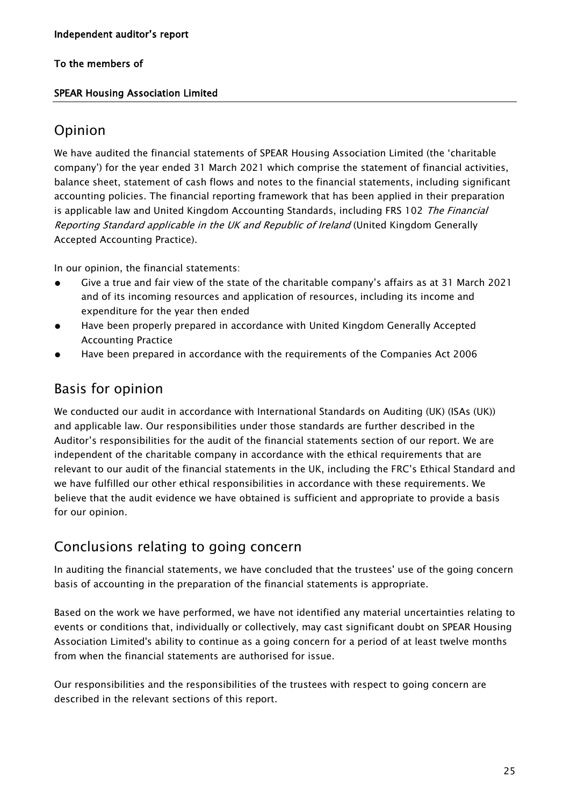# SPEAR Housing Association Limited

# Opinion

We have audited the financial statements of SPEAR Housing Association Limited (the 'charitable company') for the year ended 31 March 2021 which comprise the statement of financial activities, balance sheet, statement of cash flows and notes to the financial statements, including significant accounting policies. The financial reporting framework that has been applied in their preparation is applicable law and United Kingdom Accounting Standards, including FRS 102 The Financial Reporting Standard applicable in the UK and Republic of Ireland (United Kingdom Generally Accepted Accounting Practice).

In our opinion, the financial statements:

- Give a true and fair view of the state of the charitable company's affairs as at 31 March 2021 and of its incoming resources and application of resources, including its income and expenditure for the year then ended
- Have been properly prepared in accordance with United Kingdom Generally Accepted Accounting Practice
- Have been prepared in accordance with the requirements of the Companies Act 2006

# Basis for opinion

We conducted our audit in accordance with International Standards on Auditing (UK) (ISAs (UK)) and applicable law. Our responsibilities under those standards are further described in the Auditor's responsibilities for the audit of the financial statements section of our report. We are independent of the charitable company in accordance with the ethical requirements that are relevant to our audit of the financial statements in the UK, including the FRC's Ethical Standard and we have fulfilled our other ethical responsibilities in accordance with these requirements. We believe that the audit evidence we have obtained is sufficient and appropriate to provide a basis for our opinion.

# Conclusions relating to going concern

In auditing the financial statements, we have concluded that the trustees' use of the going concern basis of accounting in the preparation of the financial statements is appropriate.

Based on the work we have performed, we have not identified any material uncertainties relating to events or conditions that, individually or collectively, may cast significant doubt on SPEAR Housing Association Limited's ability to continue as a going concern for a period of at least twelve months from when the financial statements are authorised for issue.

Our responsibilities and the responsibilities of the trustees with respect to going concern are described in the relevant sections of this report.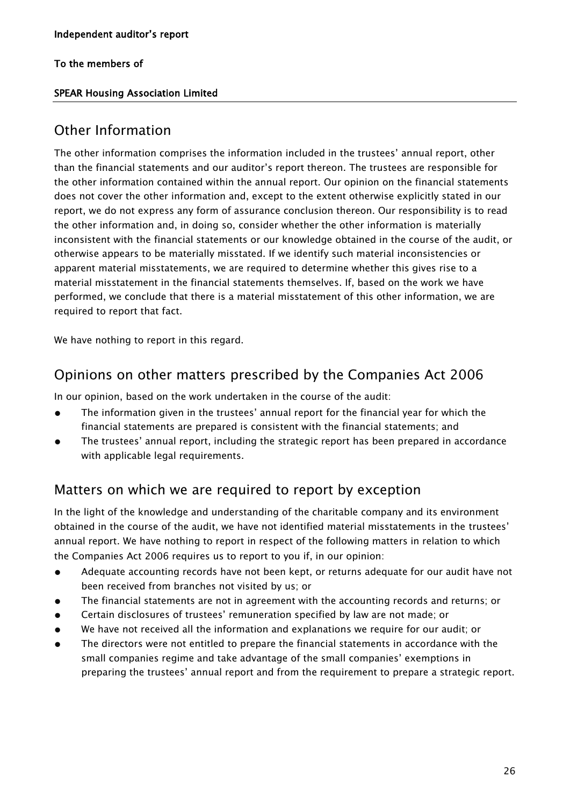# SPEAR Housing Association Limited

# Other Information

The other information comprises the information included in the trustees' annual report, other than the financial statements and our auditor's report thereon. The trustees are responsible for the other information contained within the annual report. Our opinion on the financial statements does not cover the other information and, except to the extent otherwise explicitly stated in our report, we do not express any form of assurance conclusion thereon. Our responsibility is to read the other information and, in doing so, consider whether the other information is materially inconsistent with the financial statements or our knowledge obtained in the course of the audit, or otherwise appears to be materially misstated. If we identify such material inconsistencies or apparent material misstatements, we are required to determine whether this gives rise to a material misstatement in the financial statements themselves. If, based on the work we have performed, we conclude that there is a material misstatement of this other information, we are required to report that fact.

We have nothing to report in this regard.

# Opinions on other matters prescribed by the Companies Act 2006

In our opinion, based on the work undertaken in the course of the audit:

- The information given in the trustees' annual report for the financial year for which the financial statements are prepared is consistent with the financial statements; and
- The trustees' annual report, including the strategic report has been prepared in accordance with applicable legal requirements.

# Matters on which we are required to report by exception

In the light of the knowledge and understanding of the charitable company and its environment obtained in the course of the audit, we have not identified material misstatements in the trustees' annual report. We have nothing to report in respect of the following matters in relation to which the Companies Act 2006 requires us to report to you if, in our opinion:

- Adequate accounting records have not been kept, or returns adequate for our audit have not been received from branches not visited by us; or
- The financial statements are not in agreement with the accounting records and returns; or
- Certain disclosures of trustees' remuneration specified by law are not made; or
- We have not received all the information and explanations we require for our audit; or
- The directors were not entitled to prepare the financial statements in accordance with the small companies regime and take advantage of the small companies' exemptions in preparing the trustees' annual report and from the requirement to prepare a strategic report.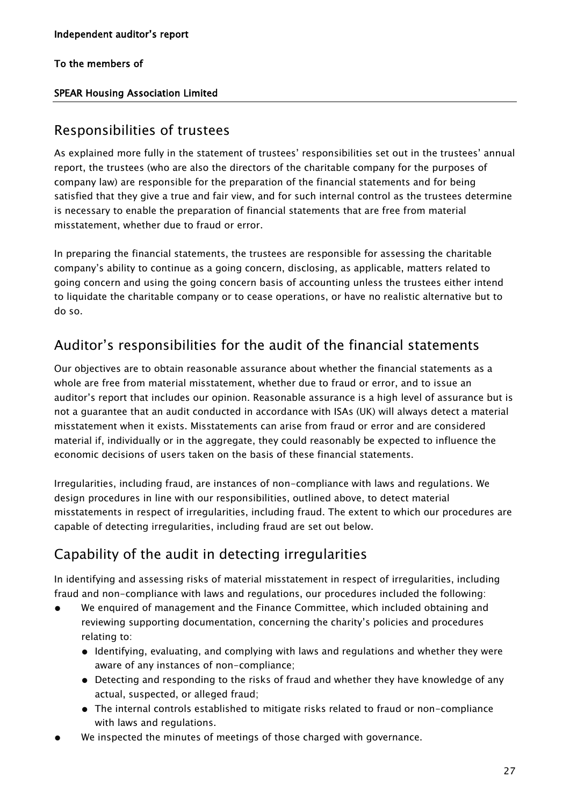# SPEAR Housing Association Limited

# Responsibilities of trustees

As explained more fully in the statement of trustees' responsibilities set out in the trustees' annual report, the trustees (who are also the directors of the charitable company for the purposes of company law) are responsible for the preparation of the financial statements and for being satisfied that they give a true and fair view, and for such internal control as the trustees determine is necessary to enable the preparation of financial statements that are free from material misstatement, whether due to fraud or error.

In preparing the financial statements, the trustees are responsible for assessing the charitable company's ability to continue as a going concern, disclosing, as applicable, matters related to going concern and using the going concern basis of accounting unless the trustees either intend to liquidate the charitable company or to cease operations, or have no realistic alternative but to do so.

# Auditor's responsibilities for the audit of the financial statements

Our objectives are to obtain reasonable assurance about whether the financial statements as a whole are free from material misstatement, whether due to fraud or error, and to issue an auditor's report that includes our opinion. Reasonable assurance is a high level of assurance but is not a guarantee that an audit conducted in accordance with ISAs (UK) will always detect a material misstatement when it exists. Misstatements can arise from fraud or error and are considered material if, individually or in the aggregate, they could reasonably be expected to influence the economic decisions of users taken on the basis of these financial statements.

Irregularities, including fraud, are instances of non-compliance with laws and regulations. We design procedures in line with our responsibilities, outlined above, to detect material misstatements in respect of irregularities, including fraud. The extent to which our procedures are capable of detecting irregularities, including fraud are set out below.

# Capability of the audit in detecting irregularities

In identifying and assessing risks of material misstatement in respect of irregularities, including fraud and non-compliance with laws and regulations, our procedures included the following:

- We enquired of management and the Finance Committee, which included obtaining and reviewing supporting documentation, concerning the charity's policies and procedures relating to:
	- Identifying, evaluating, and complying with laws and regulations and whether they were aware of any instances of non-compliance;
	- Detecting and responding to the risks of fraud and whether they have knowledge of any actual, suspected, or alleged fraud;
	- The internal controls established to mitigate risks related to fraud or non-compliance with laws and regulations.
- We inspected the minutes of meetings of those charged with governance.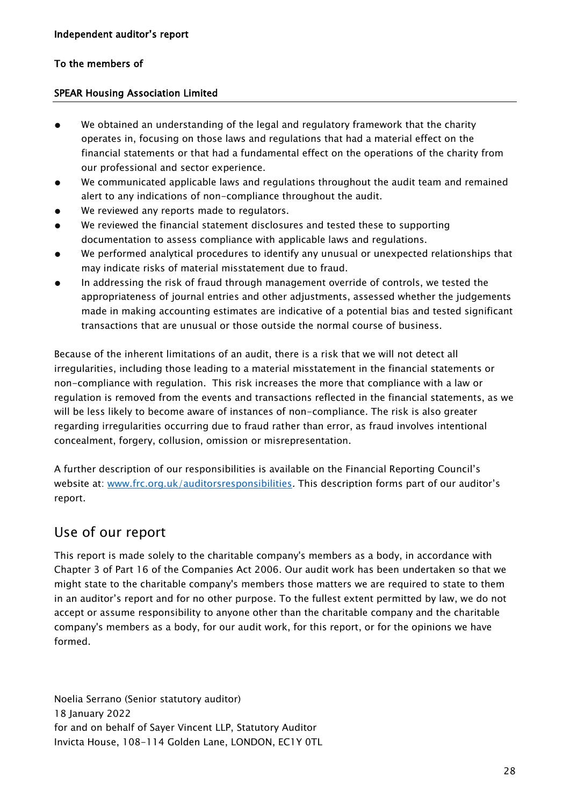# SPEAR Housing Association Limited

- We obtained an understanding of the legal and regulatory framework that the charity operates in, focusing on those laws and regulations that had a material effect on the financial statements or that had a fundamental effect on the operations of the charity from our professional and sector experience.
- We communicated applicable laws and regulations throughout the audit team and remained alert to any indications of non-compliance throughout the audit.
- We reviewed any reports made to regulators.
- We reviewed the financial statement disclosures and tested these to supporting documentation to assess compliance with applicable laws and regulations.
- We performed analytical procedures to identify any unusual or unexpected relationships that may indicate risks of material misstatement due to fraud.
- In addressing the risk of fraud through management override of controls, we tested the appropriateness of journal entries and other adjustments, assessed whether the judgements made in making accounting estimates are indicative of a potential bias and tested significant transactions that are unusual or those outside the normal course of business.

Because of the inherent limitations of an audit, there is a risk that we will not detect all irregularities, including those leading to a material misstatement in the financial statements or non-compliance with regulation. This risk increases the more that compliance with a law or regulation is removed from the events and transactions reflected in the financial statements, as we will be less likely to become aware of instances of non-compliance. The risk is also greater regarding irregularities occurring due to fraud rather than error, as fraud involves intentional concealment, forgery, collusion, omission or misrepresentation.

A further description of our responsibilities is available on the Financial Reporting Council's website at: [www.frc.org.uk/auditorsresponsibilities](http://www.frc.org.uk/auditorsresponsibilities). This description forms part of our auditor's report.

# Use of our report

This report is made solely to the charitable company's members as a body, in accordance with Chapter 3 of Part 16 of the Companies Act 2006. Our audit work has been undertaken so that we might state to the charitable company's members those matters we are required to state to them in an auditor's report and for no other purpose. To the fullest extent permitted by law, we do not accept or assume responsibility to anyone other than the charitable company and the charitable company's members as a body, for our audit work, for this report, or for the opinions we have formed.

Noelia Serrano (Senior statutory auditor) 18 January 2022 for and on behalf of Sayer Vincent LLP, Statutory Auditor Invicta House, 108-114 Golden Lane, LONDON, EC1Y 0TL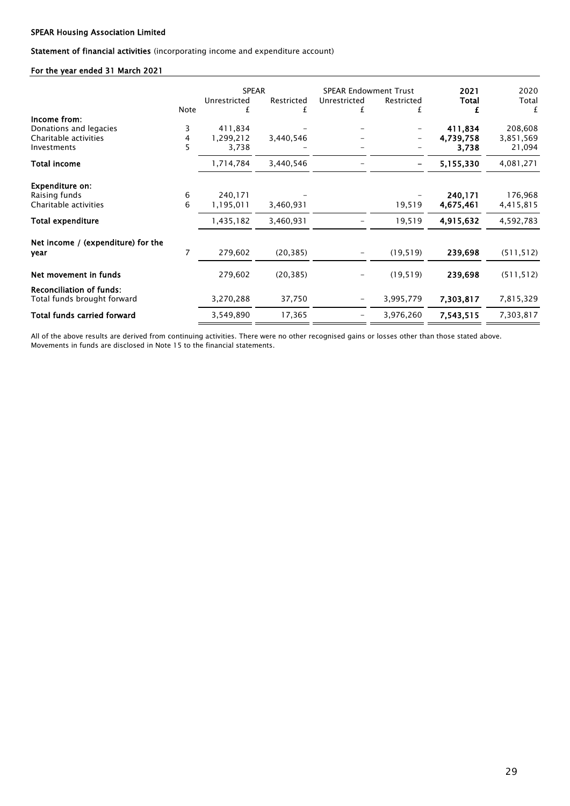### Statement of financial activities (incorporating income and expenditure account)

### For the year ended 31 March 2021

|                                    |      |              | <b>SPEAR</b> |                          | <b>SPEAR Endowment Trust</b> | 2021         | 2020       |
|------------------------------------|------|--------------|--------------|--------------------------|------------------------------|--------------|------------|
|                                    |      | Unrestricted | Restricted   | Unrestricted             | Restricted                   | <b>Total</b> | Total      |
|                                    | Note | £            | £            | £                        | £                            | £            | £          |
| Income from:                       |      |              |              |                          |                              |              |            |
| Donations and legacies             | 3    | 411.834      |              |                          |                              | 411,834      | 208,608    |
| Charitable activities              | 4    | 1,299,212    | 3,440,546    |                          |                              | 4,739,758    | 3,851,569  |
| Investments                        | 5    | 3,738        |              |                          |                              | 3,738        | 21,094     |
| <b>Total income</b>                |      | 1,714,784    | 3,440,546    |                          | -                            | 5,155,330    | 4,081,271  |
| <b>Expenditure on:</b>             |      |              |              |                          |                              |              |            |
| Raising funds                      | 6    | 240,171      |              |                          |                              | 240,171      | 176,968    |
| Charitable activities              | 6    | 1,195,011    | 3,460,931    |                          | 19,519                       | 4,675,461    | 4,415,815  |
| <b>Total expenditure</b>           |      | 1,435,182    | 3,460,931    |                          | 19,519                       | 4,915,632    | 4,592,783  |
| Net income / (expenditure) for the |      |              |              |                          |                              |              |            |
| year                               | 7    | 279,602      | (20, 385)    |                          | (19, 519)                    | 239,698      | (511, 512) |
| Net movement in funds              |      | 279,602      | (20, 385)    |                          | (19, 519)                    | 239,698      | (511, 512) |
| <b>Reconciliation of funds:</b>    |      |              |              |                          |                              |              |            |
| Total funds brought forward        |      | 3,270,288    | 37,750       | $\overline{\phantom{m}}$ | 3,995,779                    | 7,303,817    | 7,815,329  |
| Total funds carried forward        |      | 3,549,890    | 17,365       | $\overline{\phantom{m}}$ | 3,976,260                    | 7,543,515    | 7,303,817  |

All of the above results are derived from continuing activities. There were no other recognised gains or losses other than those stated above. Movements in funds are disclosed in Note 15 to the financial statements.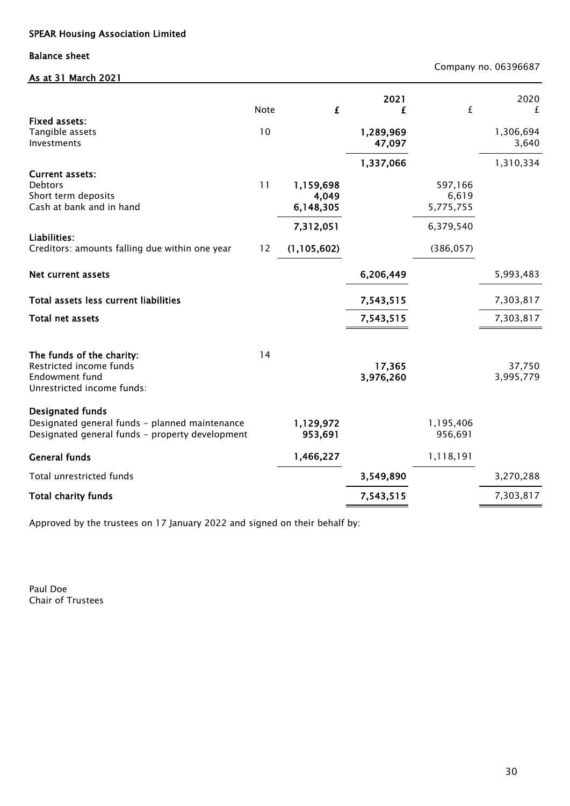Balance sheet

As at 31 March 2021

Company no. 06396687

| <b>Fixed assets:</b>                                                                                                         | <b>Note</b> | £                               | 2021<br>£           | £                             | 2020<br>£           |
|------------------------------------------------------------------------------------------------------------------------------|-------------|---------------------------------|---------------------|-------------------------------|---------------------|
| Tangible assets<br>Investments                                                                                               | 10          |                                 | 1,289,969<br>47,097 |                               | 1,306,694<br>3,640  |
| <b>Current assets:</b><br>Debtors<br>Short term deposits<br>Cash at bank and in hand                                         | 11          | 1,159,698<br>4,049<br>6,148,305 | 1,337,066           | 597,166<br>6,619<br>5,775,755 | 1,310,334           |
| Liabilities:<br>Creditors: amounts falling due within one year                                                               | 12          | 7,312,051<br>(1, 105, 602)      |                     | 6,379,540<br>(386, 057)       |                     |
| <b>Net current assets</b>                                                                                                    |             |                                 | 6,206,449           |                               | 5,993,483           |
| Total assets less current liabilities                                                                                        |             |                                 | 7,543,515           |                               | 7,303,817           |
| <b>Total net assets</b>                                                                                                      |             |                                 | 7,543,515           |                               | 7,303,817           |
| The funds of the charity:<br>Restricted income funds<br>Endowment fund<br>Unrestricted income funds:                         | 14          |                                 | 17,365<br>3,976,260 |                               | 37,750<br>3,995,779 |
| <b>Designated funds</b><br>Designated general funds - planned maintenance<br>Designated general funds - property development |             | 1,129,972<br>953,691            |                     | 1,195,406<br>956,691          |                     |
| <b>General funds</b>                                                                                                         |             | 1,466,227                       |                     | 1,118,191                     |                     |
| Total unrestricted funds                                                                                                     |             |                                 | 3,549,890           |                               | 3,270,288           |
| <b>Total charity funds</b>                                                                                                   |             |                                 | 7,543,515           |                               | 7,303,817           |

Approved by the trustees on 17 January 2022 and signed on their behalf by:

Chair of Trustees Paul Doe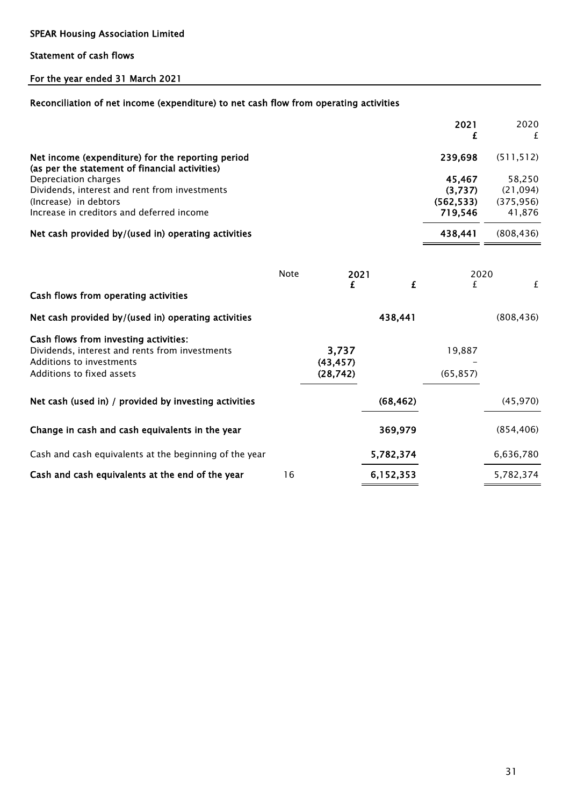### Statement of cash flows

# For the year ended 31 March 2021

### Reconciliation of net income (expenditure) to net cash flow from operating activities

|                                                                                                                                             |             |                    |           | 2021                                       | 2020<br>f                                  |
|---------------------------------------------------------------------------------------------------------------------------------------------|-------------|--------------------|-----------|--------------------------------------------|--------------------------------------------|
| Net income (expenditure) for the reporting period<br>(as per the statement of financial activities)                                         |             |                    |           | 239,698                                    | (511, 512)                                 |
| Depreciation charges<br>Dividends, interest and rent from investments<br>(Increase) in debtors<br>Increase in creditors and deferred income |             |                    |           | 45,467<br>(3,737)<br>(562, 533)<br>719,546 | 58,250<br>(21,094)<br>(375, 956)<br>41,876 |
| Net cash provided by/(used in) operating activities                                                                                         |             |                    |           | 438,441                                    | (808, 436)                                 |
|                                                                                                                                             | <b>Note</b> | 2021<br>£          | £         | 2020<br>£                                  | £                                          |
| Cash flows from operating activities                                                                                                        |             |                    |           |                                            |                                            |
| Net cash provided by/(used in) operating activities                                                                                         |             |                    | 438,441   |                                            | (808, 436)                                 |
| Cash flows from investing activities:<br>Dividends, interest and rents from investments<br>Additions to investments                         |             | 3,737<br>(43, 457) |           | 19,887                                     |                                            |
| Additions to fixed assets                                                                                                                   |             | (28, 742)          |           | (65, 857)                                  |                                            |
| Net cash (used in) / provided by investing activities                                                                                       |             |                    | (68, 462) |                                            | (45, 970)                                  |
| Change in cash and cash equivalents in the year                                                                                             |             |                    | 369,979   |                                            | (854, 406)                                 |
| Cash and cash equivalents at the beginning of the year                                                                                      |             |                    | 5,782,374 |                                            | 6,636,780                                  |
| Cash and cash equivalents at the end of the year                                                                                            | 16          |                    | 6,152,353 |                                            | 5,782,374                                  |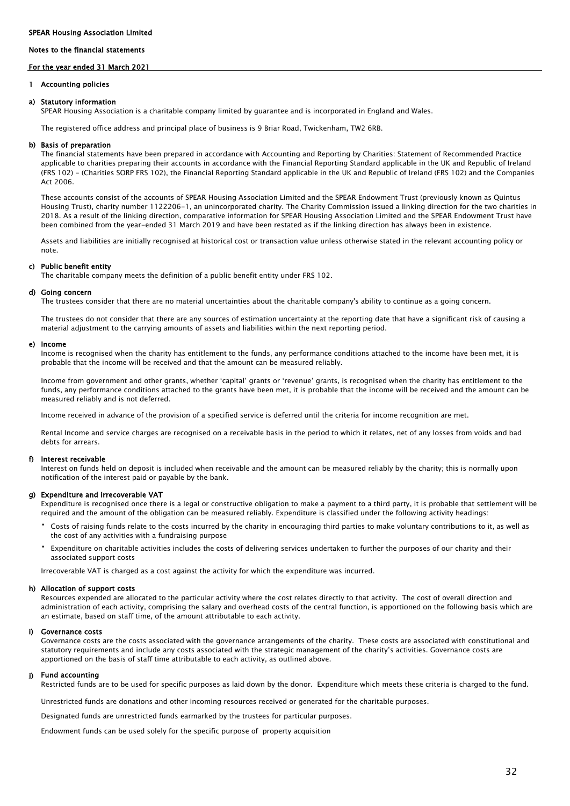#### Notes to the financial statements

#### For the year ended 31 March 2021

#### 1 Accounting policies

#### a) Statutory information

SPEAR Housing Association is a charitable company limited by guarantee and is incorporated in England and Wales.

The registered office address and principal place of business is 9 Briar Road, Twickenham, TW2 6RB.

#### b) Basis of preparation

The financial statements have been prepared in accordance with Accounting and Reporting by Charities: Statement of Recommended Practice applicable to charities preparing their accounts in accordance with the Financial Reporting Standard applicable in the UK and Republic of Ireland (FRS 102) - (Charities SORP FRS 102), the Financial Reporting Standard applicable in the UK and Republic of Ireland (FRS 102) and the Companies Act 2006.

These accounts consist of the accounts of SPEAR Housing Association Limited and the SPEAR Endowment Trust (previously known as Quintus Housing Trust), charity number 1122206-1, an unincorporated charity. The Charity Commission issued a linking direction for the two charities in 2018. As a result of the linking direction, comparative information for SPEAR Housing Association Limited and the SPEAR Endowment Trust have been combined from the year-ended 31 March 2019 and have been restated as if the linking direction has always been in existence.

Assets and liabilities are initially recognised at historical cost or transaction value unless otherwise stated in the relevant accounting policy or note.

#### c) Public benefit entity

The charitable company meets the definition of a public benefit entity under FRS 102.

#### d) Going concern

The trustees consider that there are no material uncertainties about the charitable company's ability to continue as a going concern.

The trustees do not consider that there are any sources of estimation uncertainty at the reporting date that have a significant risk of causing a material adjustment to the carrying amounts of assets and liabilities within the next reporting period.

#### e) Income

Income is recognised when the charity has entitlement to the funds, any performance conditions attached to the income have been met, it is probable that the income will be received and that the amount can be measured reliably.

Income from government and other grants, whether 'capital' grants or 'revenue' grants, is recognised when the charity has entitlement to the funds, any performance conditions attached to the grants have been met, it is probable that the income will be received and the amount can be measured reliably and is not deferred.

Income received in advance of the provision of a specified service is deferred until the criteria for income recognition are met.

Rental Income and service charges are recognised on a receivable basis in the period to which it relates, net of any losses from voids and bad debts for arrears.

#### f) Interest receivable

Interest on funds held on deposit is included when receivable and the amount can be measured reliably by the charity; this is normally upon notification of the interest paid or payable by the bank.

#### g) Expenditure and irrecoverable VAT

Expenditure is recognised once there is a legal or constructive obligation to make a payment to a third party, it is probable that settlement will be required and the amount of the obligation can be measured reliably. Expenditure is classified under the following activity headings:

- Costs of raising funds relate to the costs incurred by the charity in encouraging third parties to make voluntary contributions to it, as well as the cost of any activities with a fundraising purpose
- Expenditure on charitable activities includes the costs of delivering services undertaken to further the purposes of our charity and their associated support costs

Irrecoverable VAT is charged as a cost against the activity for which the expenditure was incurred.

#### h) Allocation of support costs

Resources expended are allocated to the particular activity where the cost relates directly to that activity. The cost of overall direction and administration of each activity, comprising the salary and overhead costs of the central function, is apportioned on the following basis which are an estimate, based on staff time, of the amount attributable to each activity.

#### i) Governance costs

Governance costs are the costs associated with the governance arrangements of the charity. These costs are associated with constitutional and statutory requirements and include any costs associated with the strategic management of the charity's activities. Governance costs are apportioned on the basis of staff time attributable to each activity, as outlined above.

#### j) Fund accounting

Restricted funds are to be used for specific purposes as laid down by the donor. Expenditure which meets these criteria is charged to the fund.

Unrestricted funds are donations and other incoming resources received or generated for the charitable purposes.

Designated funds are unrestricted funds earmarked by the trustees for particular purposes.

Endowment funds can be used solely for the specific purpose of property acquisition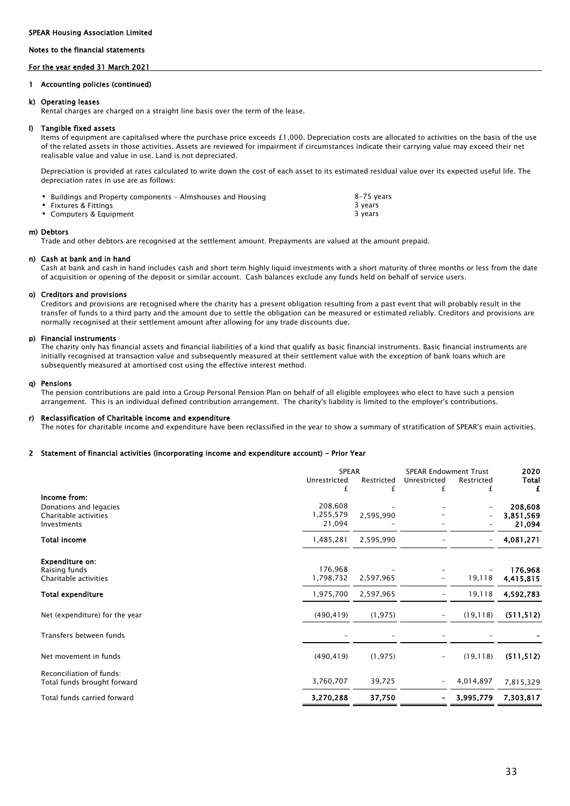#### Notes to the financial statements

#### For the year ended 31 March 2021

#### 1 Accounting policies (continued)

#### k) Operating leases

Rental charges are charged on a straight line basis over the term of the lease.

#### l) Tangible fixed assets

Items of equipment are capitalised where the purchase price exceeds £1,000. Depreciation costs are allocated to activities on the basis of the use of the related assets in those activities. Assets are reviewed for impairment if circumstances indicate their carrying value may exceed their net realisable value and value in use. Land is not depreciated.

Depreciation is provided at rates calculated to write down the cost of each asset to its estimated residual value over its expected useful life. The depreciation rates in use are as follows:

| ■ Buildings and Property components – Almshouses and Housing | 8–75 years |
|--------------------------------------------------------------|------------|
| Fixtures & Fittings                                          | 3 years    |
| Computers & Equipment                                        | 3 vears    |

#### m) Debtors

Trade and other debtors are recognised at the settlement amount. Prepayments are valued at the amount prepaid.

#### n) Cash at bank and in hand

Cash at bank and cash in hand includes cash and short term highly liquid investments with a short maturity of three months or less from the date of acquisition or opening of the deposit or similar account. Cash balances exclude any funds held on behalf of service users.

#### o) Creditors and provisions

Creditors and provisions are recognised where the charity has a present obligation resulting from a past event that will probably result in the transfer of funds to a third party and the amount due to settle the obligation can be measured or estimated reliably. Creditors and provisions are normally recognised at their settlement amount after allowing for any trade discounts due.

#### p) Financial instruments

The charity only has financial assets and financial liabilities of a kind that qualify as basic financial instruments. Basic financial instruments are initially recognised at transaction value and subsequently measured at their settlement value with the exception of bank loans which are subsequently measured at amortised cost using the effective interest method.

#### q) Pensions

The pension contributions are paid into a Group Personal Pension Plan on behalf of all eligible employees who elect to have such a pension arrangement. This is an individual defined contribution arrangement. The charity's liability is limited to the employer's contributions.

#### r) Reclassification of Charitable income and expenditure

The notes for charitable income and expenditure have been reclassified in the year to show a summary of stratification of SPEAR's main activities.

#### 2 Statement of financial activities (incorporating income and expenditure account) - Prior Year

|                                        | <b>SPEAR</b> |            | <b>SPEAR Endowment Trust</b> | 2020              |            |
|----------------------------------------|--------------|------------|------------------------------|-------------------|------------|
|                                        | Unrestricted | Restricted | Unrestricted                 | Restricted        | Total      |
|                                        | £            | £          | £                            | £                 | £          |
| Income from:<br>Donations and legacies | 208,608      |            |                              |                   | 208,608    |
| Charitable activities                  | 1,255,579    | 2,595,990  |                              |                   | 3,851,569  |
| Investments                            | 21,094       |            |                              |                   | 21,094     |
| <b>Total income</b>                    | 1,485,281    | 2,595,990  |                              | $\qquad \qquad -$ | 4,081,271  |
| <b>Expenditure on:</b>                 |              |            |                              |                   |            |
| Raising funds                          | 176,968      |            |                              |                   | 176,968    |
| Charitable activities                  | 1,798,732    | 2,597,965  | -                            | 19,118            | 4,415,815  |
| <b>Total expenditure</b>               | 1,975,700    | 2,597,965  | -                            | 19,118            | 4,592,783  |
| Net (expenditure) for the year         | (490, 419)   | (1, 975)   | $\overline{\phantom{0}}$     | (19, 118)         | (511, 512) |
| Transfers between funds                |              |            |                              |                   |            |
| Net movement in funds                  | (490, 419)   | (1, 975)   | -                            | (19, 118)         | (511, 512) |
| Reconciliation of funds:               |              |            |                              |                   |            |
| Total funds brought forward            | 3,760,707    | 39,725     |                              | 4,014,897         | 7,815,329  |
| Total funds carried forward            | 3,270,288    | 37,750     |                              | 3,995,779         | 7,303,817  |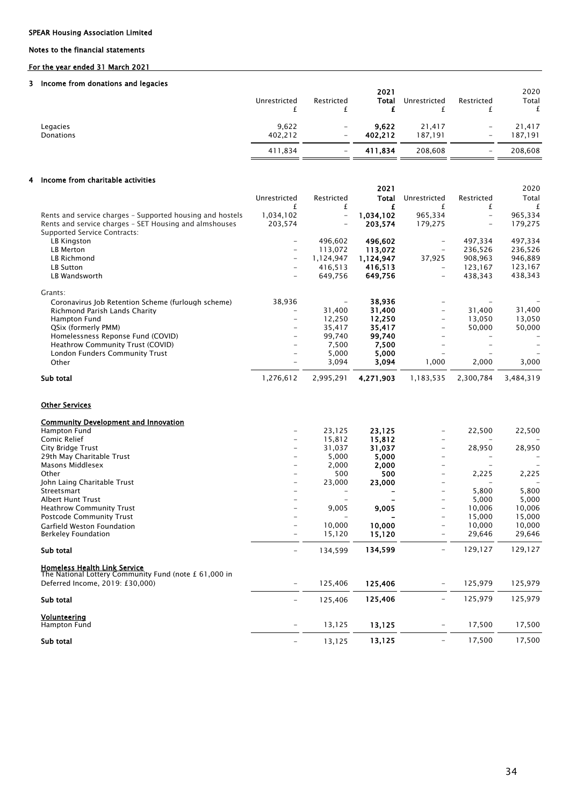### Notes to the financial statements

### For the year ended 31 March 2021

#### 3 Income from donations and legacies

|           | Unrestricted | Restricted               | 2021<br>Total | Unrestricted | Restricted               | 2020<br>Total |
|-----------|--------------|--------------------------|---------------|--------------|--------------------------|---------------|
| Legacies  | 9,622        | $\overline{\phantom{m}}$ | 9,622         | 21,417       | $\qquad \qquad -$        | 21.417        |
| Donations | 402,212      | $\overline{\phantom{a}}$ | 402.212       | 187.191      | -                        | 187.191       |
|           | 411,834      | $\overline{\phantom{a}}$ | 411,834       | 208,608      | $\overline{\phantom{0}}$ | 208,608       |

#### 4 Income from charitable activities

|                                                           |                          |                          | 2021      |                          |            | 2020      |
|-----------------------------------------------------------|--------------------------|--------------------------|-----------|--------------------------|------------|-----------|
|                                                           | Unrestricted             | Restricted               | Total     | Unrestricted             | Restricted | Total     |
|                                                           |                          |                          |           |                          | £          |           |
| Rents and service charges – Supported housing and hostels | 1,034,102                | $\overline{\phantom{a}}$ | 1,034,102 | 965,334                  |            | 965,334   |
| Rents and service charges - SET Housing and almshouses    | 203,574                  |                          | 203.574   | 179,275                  |            | 179,275   |
| Supported Service Contracts:                              |                          |                          |           |                          |            |           |
| LB Kingston                                               |                          | 496,602                  | 496,602   | -                        | 497,334    | 497,334   |
| LB Merton                                                 |                          | 113,072                  | 113,072   |                          | 236,526    | 236,526   |
| LB Richmond                                               | -                        | 1,124,947                | 1,124,947 | 37,925                   | 908,963    | 946,889   |
| <b>LB Sutton</b>                                          | $\overline{\phantom{m}}$ | 416,513                  | 416.513   | $\overline{\phantom{0}}$ | 123,167    | 123,167   |
| LB Wandsworth                                             | $\overline{\phantom{m}}$ | 649,756                  | 649.756   | $\qquad \qquad -$        | 438,343    | 438,343   |
| Grants:                                                   |                          |                          |           |                          |            |           |
| Coronavirus Job Retention Scheme (furlough scheme)        | 38,936                   |                          | 38,936    |                          |            |           |
| Richmond Parish Lands Charity                             | $\qquad \qquad -$        | 31,400                   | 31,400    | $\qquad \qquad -$        | 31,400     | 31,400    |
| Hampton Fund                                              | -                        | 12,250                   | 12,250    | $\qquad \qquad -$        | 13,050     | 13,050    |
| QSix (formerly PMM)                                       |                          | 35,417                   | 35,417    | -                        | 50,000     | 50,000    |
| Homelessness Reponse Fund (COVID)                         |                          | 99.740                   | 99.740    |                          |            |           |
| Heathrow Community Trust (COVID)                          |                          | 7,500                    | 7,500     |                          |            |           |
| London Funders Community Trust                            |                          | 5,000                    | 5,000     |                          |            |           |
| Other                                                     |                          | 3,094                    | 3,094     | 1,000                    | 2,000      | 3,000     |
| Sub total                                                 | 1,276,612                | 2,995,291                | 4,271,903 | 1,183,535                | 2,300,784  | 3,484,319 |

### Other Services

| <b>Community Development and Innovation</b>                                                  |                          |         |         |                          |         |         |
|----------------------------------------------------------------------------------------------|--------------------------|---------|---------|--------------------------|---------|---------|
| Hampton Fund                                                                                 |                          | 23,125  | 23,125  | -                        | 22,500  | 22,500  |
| Comic Relief                                                                                 | -                        | 15,812  | 15,812  | -                        |         |         |
| City Bridge Trust                                                                            |                          | 31,037  | 31,037  | -                        | 28,950  | 28,950  |
| 29th May Charitable Trust                                                                    |                          | 5,000   | 5,000   |                          |         |         |
| Masons Middlesex                                                                             |                          | 2,000   | 2,000   |                          |         |         |
| Other                                                                                        |                          | 500     | 500     | -                        | 2,225   | 2,225   |
| John Laing Charitable Trust                                                                  | -                        | 23,000  | 23,000  |                          |         |         |
| Streetsmart                                                                                  |                          |         |         |                          | 5,800   | 5,800   |
| <b>Albert Hunt Trust</b>                                                                     |                          |         |         |                          | 5,000   | 5,000   |
| <b>Heathrow Community Trust</b>                                                              |                          | 9,005   | 9,005   | -                        | 10,006  | 10,006  |
| Postcode Community Trust                                                                     |                          |         |         | -                        | 15,000  | 15,000  |
| Garfield Weston Foundation                                                                   | -                        | 10,000  | 10,000  | $\qquad \qquad -$        | 10,000  | 10,000  |
| <b>Berkeley Foundation</b>                                                                   |                          | 15,120  | 15,120  | -                        | 29,646  | 29,646  |
| Sub total                                                                                    |                          | 134,599 | 134,599 | -                        | 129,127 | 129,127 |
| <b>Homeless Health Link Service</b><br>The National Lottery Community Fund (note £ 61,000 in |                          |         |         |                          |         |         |
| Deferred Income, 2019: £30,000)                                                              |                          | 125,406 | 125,406 | $\overline{\phantom{a}}$ | 125,979 | 125,979 |
| Sub total                                                                                    | $\overline{\phantom{0}}$ | 125,406 | 125,406 | $\overline{\phantom{a}}$ | 125,979 | 125,979 |
| Volunteering                                                                                 |                          |         |         |                          |         |         |
| Hampton Fund                                                                                 | $\qquad \qquad -$        | 13,125  | 13,125  | $\qquad \qquad -$        | 17,500  | 17,500  |
| Sub total                                                                                    |                          | 13,125  | 13,125  |                          | 17,500  | 17,500  |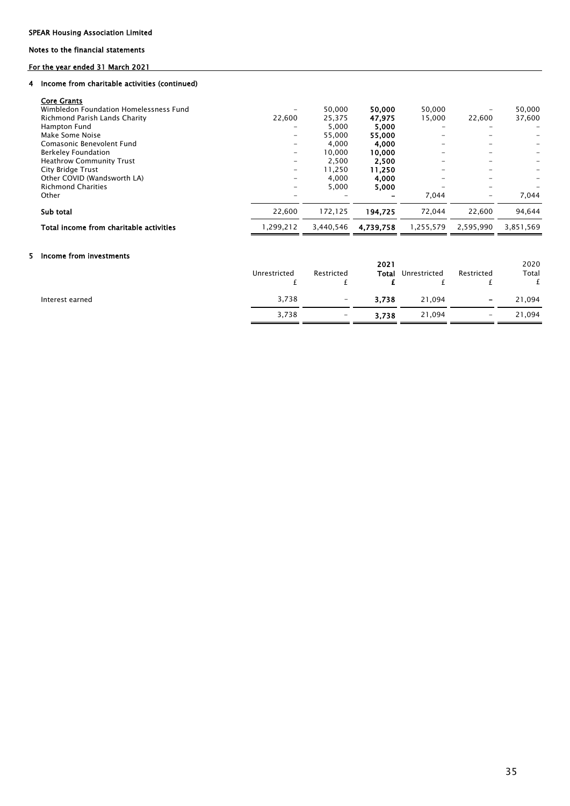### Notes to the financial statements

### For the year ended 31 March 2021

#### 4 Income from charitable activities (continued)

| <b>Core Grants</b>                      |           |           |           |           |           |           |
|-----------------------------------------|-----------|-----------|-----------|-----------|-----------|-----------|
| Wimbledon Foundation Homelessness Fund  |           | 50.000    | 50.000    | 50.000    |           | 50.000    |
| Richmond Parish Lands Charity           | 22.600    | 25.375    | 47.975    | 15.000    | 22.600    | 37.600    |
| Hampton Fund                            |           | 5,000     | 5,000     |           |           |           |
| Make Some Noise                         |           | 55.000    | 55,000    |           |           |           |
| Comasonic Benevolent Fund               |           | 4.000     | 4,000     |           |           |           |
| <b>Berkeley Foundation</b>              |           | 10.000    | 10.000    |           |           |           |
| <b>Heathrow Community Trust</b>         | -         | 2.500     | 2,500     |           |           |           |
| City Bridge Trust                       | -         | 11.250    | 11,250    |           |           |           |
| Other COVID (Wandsworth LA)             |           | 4.000     | 4,000     |           |           |           |
| <b>Richmond Charities</b>               |           | 5.000     | 5,000     |           | -         |           |
| Other                                   |           |           |           | 7.044     | -         | 7.044     |
| Sub total                               | 22.600    | 172.125   | 194.725   | 72.044    | 22.600    | 94.644    |
| Total income from charitable activities | 1.299.212 | 3.440.546 | 4.739.758 | 1.255.579 | 2.595.990 | 3.851.569 |

#### 5 Income from investments

|                 | Unrestricted | Restricted               | 2021<br>Total | Unrestricted | Restricted               | 2020<br>Total |
|-----------------|--------------|--------------------------|---------------|--------------|--------------------------|---------------|
| Interest earned | 3,738        | $\overline{\phantom{m}}$ | 3,738         | 21,094       | $\overline{\phantom{a}}$ | 21,094        |
|                 | 3,738        | $\overline{\phantom{0}}$ | 3.738         | 21,094       | $\qquad \qquad -$        | 21,094        |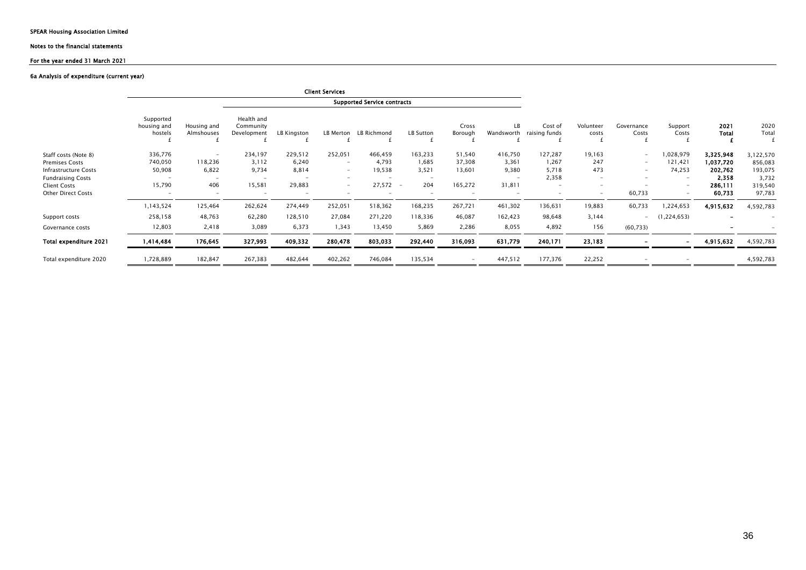#### Notes to the financial statements

#### For the year ended 31 March 2021

#### 6a Analysis of expenditure (current year)

|                               |                                     |                           |                                        |                          | <b>Client Services</b>   |                                    |               |                          |                          |                          |                          |                                         |                          |                              |           |
|-------------------------------|-------------------------------------|---------------------------|----------------------------------------|--------------------------|--------------------------|------------------------------------|---------------|--------------------------|--------------------------|--------------------------|--------------------------|-----------------------------------------|--------------------------|------------------------------|-----------|
|                               |                                     |                           |                                        |                          |                          | <b>Supported Service contracts</b> |               |                          |                          |                          |                          |                                         |                          |                              |           |
|                               | Supported<br>housing and<br>hostels | Housing and<br>Almshouses | Health and<br>Community<br>Development | LB Kingston              | LB Merton                | LB Richmond                        | LB Sutton     | Cross<br>Borough         | LB<br>Wandsworth         | Cost of<br>raising funds | Volunteer<br>costs       | Governance<br>Support<br>Costs<br>Costs | 2021<br><b>Total</b>     | 2020<br>Total                |           |
| Staff costs (Note 8)          | 336,776                             |                           | 234,197                                | 229,512                  | 252,051                  | 466,459                            | 163,233       | 51,540                   | 416,750                  | 127,287                  | 19,163                   | $\qquad \qquad -$                       | 028,979                  | 3,325,948                    | 3,122,570 |
| <b>Premises Costs</b>         | 740,050                             | 118,236                   | 3,112                                  | 6,240                    | $\overline{\phantom{a}}$ | 4,793                              | 1,685         | 37,308                   | 3,361                    | 1,267                    | 247                      | $\overline{\phantom{a}}$                | 121,421                  | 1,037,720                    | 856,083   |
| Infrastructure Costs          | 50,908                              | 6,822                     | 9,734                                  | 8,814                    | $\overline{\phantom{a}}$ | 19,538                             | 3.521         | 13,601                   | 9,380                    | 5,718                    | 473                      | $\overline{\phantom{a}}$                | 74,253                   | 202,762                      | 193,075   |
| <b>Fundraising Costs</b>      |                                     | $\overline{\phantom{0}}$  | $\overline{\phantom{a}}$               |                          | $\overline{\phantom{0}}$ |                                    |               |                          | $\overline{\phantom{0}}$ | 2,358                    | $\overline{\phantom{0}}$ |                                         |                          | 2,358                        | 3,732     |
| <b>Client Costs</b>           | 15,790                              | 406                       | 15,581                                 | 29,883                   | $\overline{\phantom{a}}$ | 27,572                             | 204<br>$\sim$ | 165,272                  | 31,811                   | $\overline{\phantom{a}}$ | $\overline{\phantom{0}}$ |                                         | $\overline{\phantom{0}}$ | 286,111                      | 319,540   |
| <b>Other Direct Costs</b>     | $\qquad \qquad -$                   | $\overline{\phantom{a}}$  | $\overline{\phantom{0}}$               | $\overline{\phantom{0}}$ | $\overline{\phantom{0}}$ |                                    |               | $\overline{\phantom{0}}$ |                          |                          | $\overline{\phantom{0}}$ | 60,733                                  | $\overline{\phantom{0}}$ | 60,733                       | 97,783    |
|                               | 1,143,524                           | 125,464                   | 262,624                                | 274,449                  | 252,051                  | 518,362                            | 168,235       | 267,721                  | 461,302                  | 136,631                  | 19,883                   | 60,733                                  | 1,224,653                | 4,915,632                    | 4,592,783 |
| Support costs                 | 258,158                             | 48,763                    | 62,280                                 | 128,510                  | 27,084                   | 271,220                            | 118,336       | 46,087                   | 162,423                  | 98,648                   | 3,144                    | $\equiv$                                | (1, 224, 653)            | $\qquad \qquad \blacksquare$ |           |
| Governance costs              | 12,803                              | 2,418                     | 3,089                                  | 6,373                    | 1,343                    | 13,450                             | 5,869         | 2,286                    | 8,055                    | 4,892                    | 156                      | (60, 733)                               |                          |                              |           |
| <b>Total expenditure 2021</b> | 1,414,484                           | 176,645                   | 327,993                                | 409,332                  | 280,478                  | 803,033                            | 292,440       | 316,093                  | 631,779                  | 240,171                  | 23,183                   |                                         |                          | 4,915,632                    | 4,592,783 |
| Total expenditure 2020        | 1,728,889                           | 182,847                   | 267,383                                | 482,644                  | 402,262                  | 746,084                            | 135,534       | $\overline{\phantom{0}}$ | 447,512                  | 177,376                  | 22,252                   | $\overline{\phantom{0}}$                |                          |                              | 4,592,783 |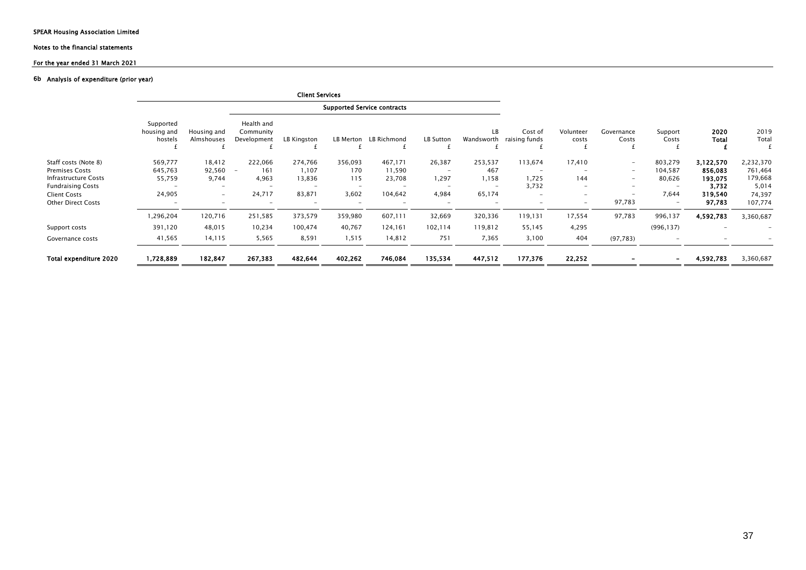# Notes to the financial statements

### For the year ended 31 March 2021

#### 6b Analysis of expenditure (prior year)

|                           |                                     |                           |                                        | <b>Client Services</b> |                          |                                    |                                 |                          |                          |                          |                          |                          |                          |               |
|---------------------------|-------------------------------------|---------------------------|----------------------------------------|------------------------|--------------------------|------------------------------------|---------------------------------|--------------------------|--------------------------|--------------------------|--------------------------|--------------------------|--------------------------|---------------|
|                           |                                     |                           |                                        |                        |                          | <b>Supported Service contracts</b> |                                 |                          |                          |                          |                          |                          |                          |               |
|                           | Supported<br>housing and<br>hostels | Housing and<br>Almshouses | Health and<br>Community<br>Development | LB Kingston            | LB Merton                | LB Richmond                        | LB Sutton                       | LB<br>Wandsworth         | Cost of<br>raising funds | Volunteer<br>costs       | Governance<br>Costs      | Support<br>Costs         | 2020<br>Total            | 2019<br>Total |
| Staff costs (Note 8)      | 569,777                             | 18,412                    | 222,066                                | 274,766                | 356,093                  | 467,171                            | 26,387                          | 253,537                  | 113,674                  | 17,410                   | $\sim$                   | 803,279                  | 3,122,570                | 2,232,370     |
| <b>Premises Costs</b>     | 645,763                             | 92,560                    | 161<br>$\overline{\phantom{a}}$        | 1,107                  | 170                      | 11,590                             | $\hspace{0.1mm}-\hspace{0.1mm}$ | 467                      | $\overline{\phantom{a}}$ |                          | $\overline{\phantom{a}}$ | 104,587                  | 856,083                  | 761,464       |
| Infrastructure Costs      | 55,759                              | 9,744                     | 4,963                                  | 13,836                 | 115                      | 23,708                             | 1,297                           | 1,158                    | 1,725                    | 144                      | $\overline{\phantom{a}}$ | 80,626                   | 193,075                  | 179,668       |
| <b>Fundraising Costs</b>  |                                     | $\overline{\phantom{a}}$  |                                        |                        | $\overline{\phantom{0}}$ | $\sim$                             |                                 | $\overline{\phantom{a}}$ | 3,732                    | $\overline{\phantom{a}}$ | $\overline{\phantom{a}}$ |                          | 3,732                    | 5,014         |
| <b>Client Costs</b>       | 24,905                              | $\sim$                    | 24,717                                 | 83,871                 | 3,602                    | 104,642                            | 4,984                           | 65,174                   | $\overline{\phantom{a}}$ | $\overline{\phantom{a}}$ | $\overline{\phantom{a}}$ | 7,644                    | 319,540                  | 74,397        |
| <b>Other Direct Costs</b> |                                     | -                         |                                        |                        |                          |                                    |                                 | ٠                        |                          | $\overline{\phantom{a}}$ | 97,783                   | $\overline{\phantom{a}}$ | 97,783                   | 107,774       |
|                           | 1,296,204                           | 120,716                   | 251,585                                | 373,579                | 359,980                  | 607,111                            | 32,669                          | 320,336                  | 119,131                  | 17,554                   | 97,783                   | 996,137                  | 4,592,783                | 3,360,687     |
| Support costs             | 391,120                             | 48,015                    | 10,234                                 | 100,474                | 40,767                   | 124,161                            | 102,114                         | 119,812                  | 55,145                   | 4,295                    |                          | (996, 137)               | $\overline{\phantom{a}}$ |               |
| Governance costs          | 41,565                              | 14,115                    | 5,565                                  | 8,591                  | 1,515                    | 14,812                             | 751                             | 7,365                    | 3,100                    | 404                      | (97, 783)                |                          |                          |               |
| Total expenditure 2020    | 1,728,889                           | 182,847                   | 267,383                                | 482,644                | 402,262                  | 746,084                            | 135,534                         | 447,512                  | 177,376                  | 22,252                   | $\overline{\phantom{a}}$ | $\overline{\phantom{0}}$ | 4,592,783                | 3,360,687     |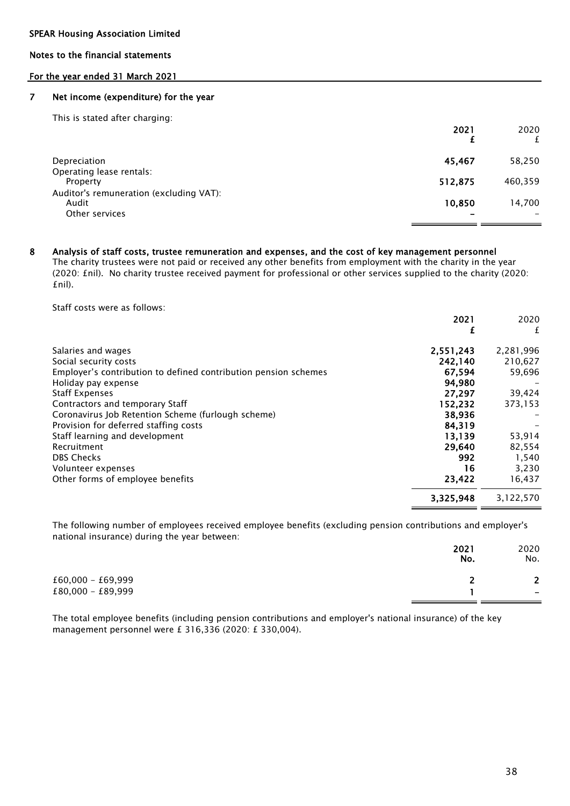### Notes to the financial statements

### For the year ended 31 March 2021

#### 7 Net income (expenditure) for the year

| This is stated after charging:                                     | 2021    | 2020    |
|--------------------------------------------------------------------|---------|---------|
| Depreciation                                                       | 45.467  | 58,250  |
| Operating lease rentals:<br>Property                               | 512,875 | 460,359 |
| Auditor's remuneration (excluding VAT):<br>Audit<br>Other services | 10,850  | 14,700  |

#### 8 Analysis of staff costs, trustee remuneration and expenses, and the cost of key management personnel

The charity trustees were not paid or received any other benefits from employment with the charity in the year (2020: £nil). No charity trustee received payment for professional or other services supplied to the charity (2020: £nil).

Staff costs were as follows:

|                                                                 | 2021      | 2020      |
|-----------------------------------------------------------------|-----------|-----------|
|                                                                 |           | £         |
| Salaries and wages                                              | 2,551,243 | 2,281,996 |
| Social security costs                                           | 242,140   | 210,627   |
| Employer's contribution to defined contribution pension schemes | 67,594    | 59,696    |
| Holiday pay expense                                             | 94,980    |           |
| <b>Staff Expenses</b>                                           | 27.297    | 39,424    |
| Contractors and temporary Staff                                 | 152,232   | 373,153   |
| Coronavirus Job Retention Scheme (furlough scheme)              | 38,936    |           |
| Provision for deferred staffing costs                           | 84,319    |           |
| Staff learning and development                                  | 13.139    | 53,914    |
| Recruitment                                                     | 29,640    | 82,554    |
| <b>DBS Checks</b>                                               | 992       | 1,540     |
| Volunteer expenses                                              | 16        | 3,230     |
| Other forms of employee benefits                                | 23,422    | 16,437    |
|                                                                 | 3,325,948 | 3,122,570 |

The following number of employees received employee benefits (excluding pension contributions and employer's national insurance) during the year between:

|                     | 2021<br>No. | 2020<br>No.              |
|---------------------|-------------|--------------------------|
| $£60,000 - £69,999$ |             | $\mathbf{r}$             |
| $£80,000 - £89,999$ |             | $\overline{\phantom{0}}$ |

The total employee benefits (including pension contributions and employer's national insurance) of the key management personnel were £ 316,336 (2020: £ 330,004).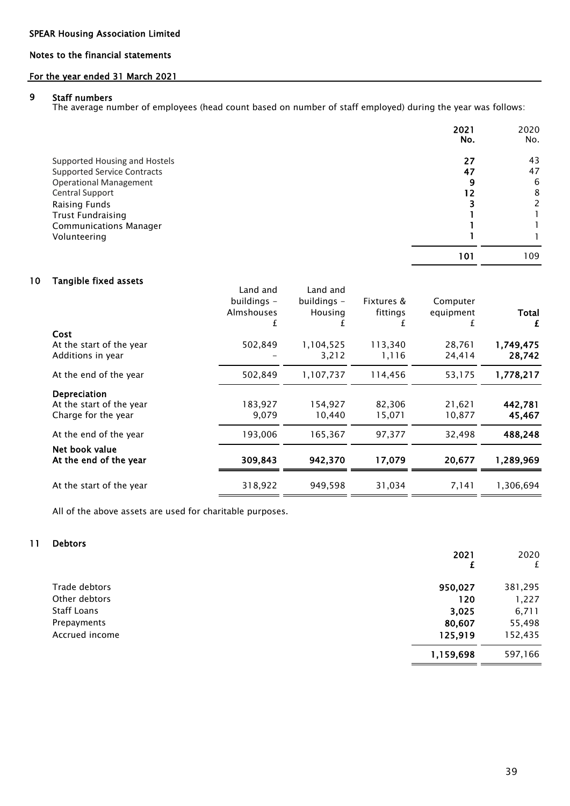### Notes to the financial statements

### For the year ended 31 March 2021

#### 9 Staff numbers

The average number of employees (head count based on number of staff employed) during the year was follows:

|                                    | 2021<br>No. | 2020<br>No. |
|------------------------------------|-------------|-------------|
| Supported Housing and Hostels      | 27          | 43          |
| <b>Supported Service Contracts</b> | 47          | 47          |
| <b>Operational Management</b>      | 9           | 6           |
| Central Support                    | -2          | 8           |
| Raising Funds                      |             | 2           |
| <b>Trust Fundraising</b>           |             |             |
| <b>Communications Manager</b>      |             |             |
| Volunteering                       |             |             |
|                                    | 101         | 109         |

#### 10 Tangible fixed assets

|                                                                 | Land and<br>buildings -<br><b>Almshouses</b> | Land and<br>buildings -<br>Housing | Fixtures &<br>fittings | Computer<br>equipment<br>±. | Total<br>£          |
|-----------------------------------------------------------------|----------------------------------------------|------------------------------------|------------------------|-----------------------------|---------------------|
| Cost                                                            |                                              |                                    |                        |                             |                     |
| At the start of the year<br>Additions in year                   | 502,849                                      | 1,104,525<br>3,212                 | 113,340<br>1,116       | 28,761<br>24,414            | 1,749,475<br>28,742 |
| At the end of the year                                          | 502,849                                      | 1,107,737                          | 114,456                | 53,175                      | 1,778,217           |
| Depreciation<br>At the start of the year<br>Charge for the year | 183,927<br>9.079                             | 154,927<br>10.440                  | 82,306<br>15,071       | 21,621<br>10,877            | 442,781<br>45,467   |
| At the end of the year                                          | 193,006                                      | 165,367                            | 97,377                 | 32,498                      | 488,248             |
| Net book value<br>At the end of the year                        | 309,843                                      | 942,370                            | 17,079                 | 20,677                      | 1,289,969           |
| At the start of the year                                        | 318,922                                      | 949,598                            | 31,034                 | 7,141                       | 1.306.694           |

All of the above assets are used for charitable purposes.

#### 11 Debtors

|                | 2021      | 2020<br>£ |
|----------------|-----------|-----------|
| Trade debtors  | 950,027   | 381,295   |
| Other debtors  | 120       | 1,227     |
| Staff Loans    | 3,025     | 6,711     |
| Prepayments    | 80,607    | 55,498    |
| Accrued income | 125,919   | 152,435   |
|                | 1,159,698 | 597,166   |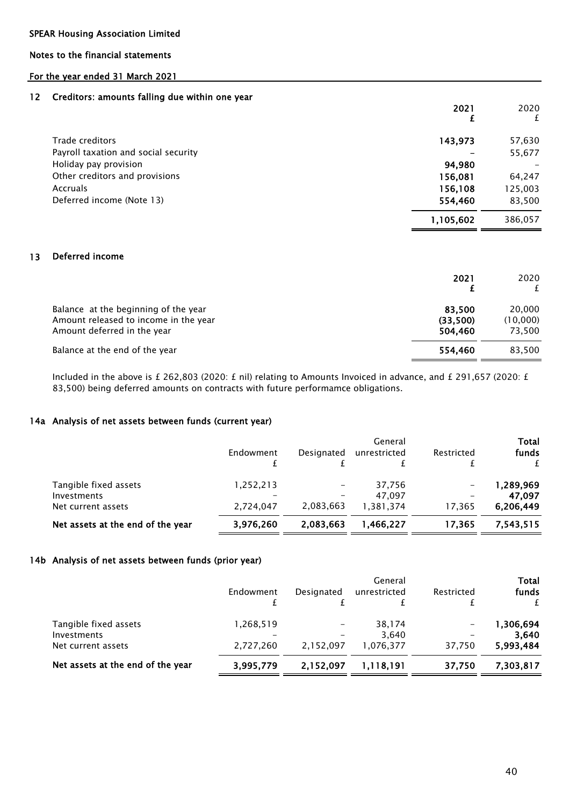Notes to the financial statements

### For the year ended 31 March 2021

### 12 Creditors: amounts falling due within one year

|                                      | 2021      | 2020<br>£ |
|--------------------------------------|-----------|-----------|
| Trade creditors                      | 143,973   | 57,630    |
| Payroll taxation and social security |           | 55,677    |
| Holiday pay provision                | 94,980    |           |
| Other creditors and provisions       | 156,081   | 64,247    |
| <b>Accruals</b>                      | 156,108   | 125,003   |
| Deferred income (Note 13)            | 554,460   | 83,500    |
|                                      | 1,105,602 | 386,057   |

### 13 Deferred income

|                                                                                                              | 2021                          | 2020                         |
|--------------------------------------------------------------------------------------------------------------|-------------------------------|------------------------------|
| Balance at the beginning of the year<br>Amount released to income in the year<br>Amount deferred in the year | 83.500<br>(33,500)<br>504,460 | 20,000<br>(10,000)<br>73.500 |
| Balance at the end of the year                                                                               | 554.460                       | 83.500                       |

Included in the above is £ 262,803 (2020: £ nil) relating to Amounts Invoiced in advance, and £ 291,657 (2020: £ 83,500) being deferred amounts on contracts with future performamce obligations.

### 14a Analysis of net assets between funds (current year)

|                                   | Endowment       | Designated               | General<br>unrestricted | Restricted | <b>Total</b><br>funds<br>f |
|-----------------------------------|-----------------|--------------------------|-------------------------|------------|----------------------------|
| Tangible fixed assets             | 1,252,213       |                          | 37,756                  |            | 1,289,969                  |
| Investments                       | $\qquad \qquad$ | $\overline{\phantom{m}}$ | 47.097                  | -          | 47.097                     |
| Net current assets                | 2.724.047       | 2,083,663                | 1,381,374               | 17.365     | 6.206.449                  |
| Net assets at the end of the year | 3,976,260       | 2,083,663                | 1,466,227               | 17,365     | 7.543.515                  |

### 14b Analysis of net assets between funds (prior year)

|                                   | Endowment | Designated | General<br>unrestricted | Restricted | <b>Total</b><br>funds |
|-----------------------------------|-----------|------------|-------------------------|------------|-----------------------|
| Tangible fixed assets             | 1,268,519 |            | 38,174                  |            | 1,306,694             |
| Investments                       |           |            | 3.640                   |            | 3.640                 |
| Net current assets                | 2,727,260 | 2,152,097  | 1,076,377               | 37,750     | 5,993,484             |
| Net assets at the end of the year | 3,995,779 | 2,152,097  | 1,118,191               | 37,750     | 7,303,817             |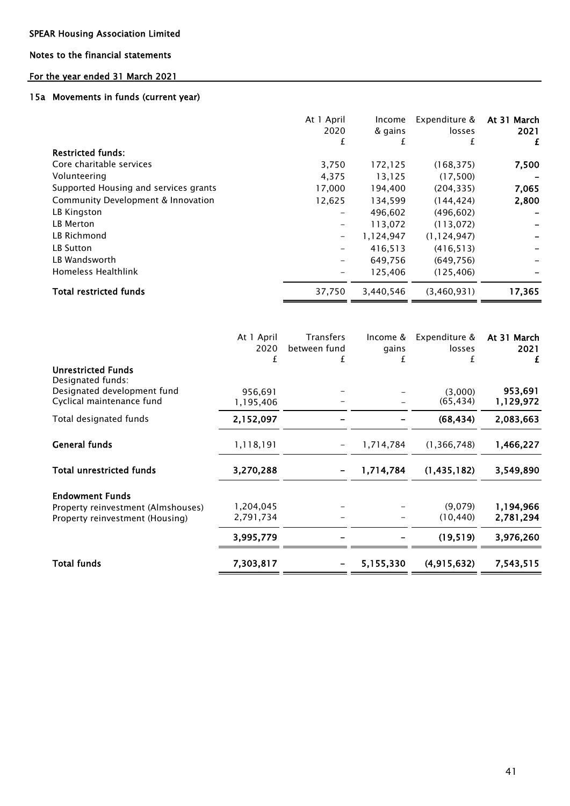### Notes to the financial statements

### For the year ended 31 March 2021

### 15a Movements in funds (current year)

|                                       | At 1 April<br>2020<br>£  | Income<br>& gains<br>±. | Expenditure &<br>losses<br>£ | At 31 March<br>2021<br>£ |
|---------------------------------------|--------------------------|-------------------------|------------------------------|--------------------------|
| <b>Restricted funds:</b>              |                          |                         |                              |                          |
| Core charitable services              | 3,750                    | 172,125                 | (168, 375)                   | 7,500                    |
| Volunteering                          | 4,375                    | 13,125                  | (17,500)                     |                          |
| Supported Housing and services grants | 17.000                   | 194.400                 | (204.335)                    | 7,065                    |
| Community Development & Innovation    | 12,625                   | 134,599                 | (144, 424)                   | 2,800                    |
| LB Kingston                           |                          | 496,602                 | (496, 602)                   |                          |
| LB Merton                             |                          | 113,072                 | (113, 072)                   |                          |
| LB Richmond                           | $\overline{\phantom{0}}$ | 1.124.947               | (1, 124, 947)                |                          |
| LB Sutton                             |                          | 416,513                 | (416, 513)                   |                          |
| LB Wandsworth                         |                          | 649,756                 | (649, 756)                   |                          |
| Homeless Healthlink                   |                          | 125,406                 | (125, 406)                   |                          |
| <b>Total restricted funds</b>         | 37,750                   | 3,440,546               | (3,460,931)                  | 17,365                   |

|                                                                       | At 1 April<br>2020<br>£ | Transfers<br>between fund<br>£ | Income &<br>gains<br>f | Expenditure &<br>losses | At 31 March<br>2021<br>£ |
|-----------------------------------------------------------------------|-------------------------|--------------------------------|------------------------|-------------------------|--------------------------|
| <b>Unrestricted Funds</b><br>Designated funds:                        |                         |                                |                        |                         |                          |
| Designated development fund<br>Cyclical maintenance fund              | 956.691<br>1,195,406    |                                |                        | (3,000)<br>(65, 434)    | 953,691<br>1,129,972     |
| Total designated funds                                                | 2,152,097               |                                |                        | (68, 434)               | 2,083,663                |
| <b>General funds</b>                                                  | 1,118,191               |                                | 1,714,784              | (1, 366, 748)           | 1,466,227                |
| <b>Total unrestricted funds</b>                                       | 3,270,288               |                                | 1,714,784              | (1, 435, 182)           | 3,549,890                |
| <b>Endowment Funds</b>                                                |                         |                                |                        |                         |                          |
| Property reinvestment (Almshouses)<br>Property reinvestment (Housing) | 1,204,045<br>2,791,734  |                                |                        | (9,079)<br>(10, 440)    | 1,194,966<br>2,781,294   |
|                                                                       | 3,995,779               |                                |                        | (19, 519)               | 3,976,260                |
| <b>Total funds</b>                                                    | 7,303,817               |                                | 5,155,330              | (4, 915, 632)           | 7,543,515                |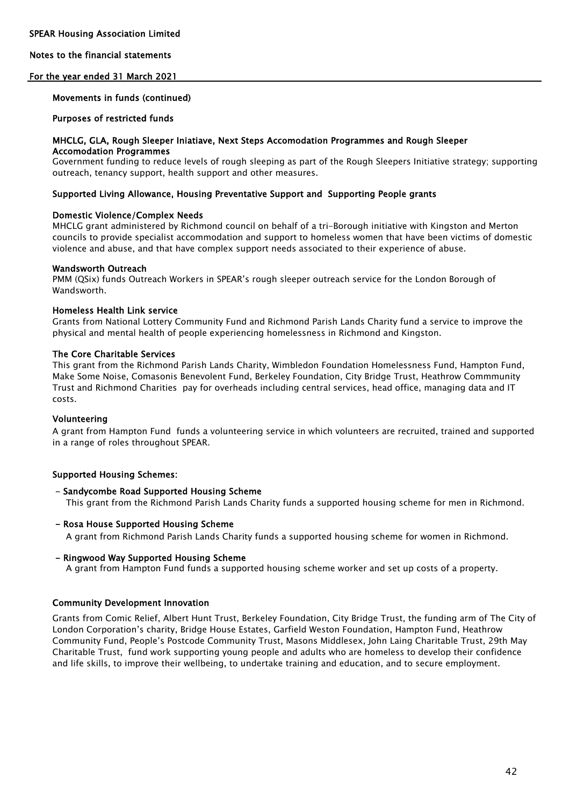### Notes to the financial statements

### For the year ended 31 March 2021

### Movements in funds (continued)

### Purposes of restricted funds

### MHCLG, GLA, Rough Sleeper Iniatiave, Next Steps Accomodation Programmes and Rough Sleeper Accomodation Programmes

Government funding to reduce levels of rough sleeping as part of the Rough Sleepers Initiative strategy; supporting outreach, tenancy support, health support and other measures.

### Supported Living Allowance, Housing Preventative Support and Supporting People grants

### Domestic Violence/Complex Needs

MHCLG grant administered by Richmond council on behalf of a tri-Borough initiative with Kingston and Merton councils to provide specialist accommodation and support to homeless women that have been victims of domestic violence and abuse, and that have complex support needs associated to their experience of abuse.

### Wandsworth Outreach

PMM (QSix) funds Outreach Workers in SPEAR's rough sleeper outreach service for the London Borough of **Wandsworth** 

### Homeless Health Link service

Grants from National Lottery Community Fund and Richmond Parish Lands Charity fund a service to improve the physical and mental health of people experiencing homelessness in Richmond and Kingston.

### The Core Charitable Services

This grant from the Richmond Parish Lands Charity, Wimbledon Foundation Homelessness Fund, Hampton Fund, Make Some Noise, Comasonis Benevolent Fund, Berkeley Foundation, City Bridge Trust, Heathrow Commmunity Trust and Richmond Charities pay for overheads including central services, head office, managing data and IT costs.

### Volunteering

A grant from Hampton Fund funds a volunteering service in which volunteers are recruited, trained and supported in a range of roles throughout SPEAR.

### Supported Housing Schemes:

### - Sandycombe Road Supported Housing Scheme

This grant from the Richmond Parish Lands Charity funds a supported housing scheme for men in Richmond.

### - Rosa House Supported Housing Scheme

A grant from Richmond Parish Lands Charity funds a supported housing scheme for women in Richmond.

### - Ringwood Way Supported Housing Scheme

A grant from Hampton Fund funds a supported housing scheme worker and set up costs of a property.

### Community Development Innovation

Grants from Comic Relief, Albert Hunt Trust, Berkeley Foundation, City Bridge Trust, the funding arm of The City of London Corporation's charity, Bridge House Estates, Garfield Weston Foundation, Hampton Fund, Heathrow Community Fund, People's Postcode Community Trust, Masons Middlesex, John Laing Charitable Trust, 29th May Charitable Trust, fund work supporting young people and adults who are homeless to develop their confidence and life skills, to improve their wellbeing, to undertake training and education, and to secure employment.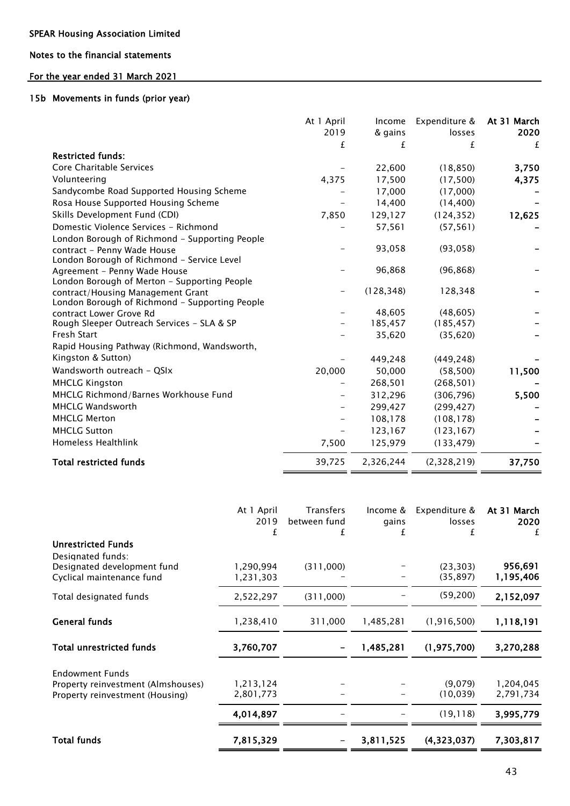### Notes to the financial statements

# For the year ended 31 March 2021

### 15b Movements in funds (prior year)

|                                                | At 1 April | Income     | Expenditure & | At 31 March |
|------------------------------------------------|------------|------------|---------------|-------------|
|                                                | 2019       | & gains    | losses        | 2020        |
|                                                | £          | £          | £             | £           |
| <b>Restricted funds:</b>                       |            |            |               |             |
| Core Charitable Services                       |            | 22,600     | (18, 850)     | 3,750       |
| Volunteering                                   | 4,375      | 17,500     | (17, 500)     | 4,375       |
| Sandycombe Road Supported Housing Scheme       |            | 17,000     | (17,000)      |             |
| Rosa House Supported Housing Scheme            |            | 14,400     | (14, 400)     |             |
| Skills Development Fund (CDI)                  | 7,850      | 129,127    | (124, 352)    | 12,625      |
| Domestic Violence Services - Richmond          |            | 57,561     | (57, 561)     |             |
| London Borough of Richmond - Supporting People |            |            |               |             |
| contract - Penny Wade House                    |            | 93,058     | (93, 058)     |             |
| London Borough of Richmond - Service Level     |            |            |               |             |
| Agreement - Penny Wade House                   |            | 96,868     | (96, 868)     |             |
| London Borough of Merton - Supporting People   |            |            |               |             |
| contract/Housing Management Grant              |            | (128, 348) | 128,348       |             |
| London Borough of Richmond - Supporting People |            |            |               |             |
| contract Lower Grove Rd                        |            | 48,605     | (48, 605)     |             |
| Rough Sleeper Outreach Services - SLA & SP     |            | 185,457    | (185, 457)    |             |
| Fresh Start                                    |            | 35,620     | (35, 620)     |             |
| Rapid Housing Pathway (Richmond, Wandsworth,   |            |            |               |             |
| Kingston & Sutton)                             |            | 449,248    | (449, 248)    |             |
| Wandsworth outreach - QSIx                     | 20,000     | 50,000     | (58, 500)     | 11,500      |
| <b>MHCLG Kingston</b>                          |            | 268,501    | (268, 501)    |             |
| MHCLG Richmond/Barnes Workhouse Fund           |            | 312,296    | (306, 796)    | 5,500       |
| <b>MHCLG Wandsworth</b>                        |            | 299,427    | (299, 427)    |             |
| <b>MHCLG Merton</b>                            |            | 108,178    | (108, 178)    |             |
| <b>MHCLG Sutton</b>                            |            | 123,167    | (123, 167)    |             |
| Homeless Healthlink                            | 7,500      | 125,979    | (133, 479)    |             |
| <b>Total restricted funds</b>                  | 39,725     | 2,326,244  | (2,328,219)   | 37,750      |

|                                                          | At 1 April<br>2019<br>£ | Transfers<br>between fund<br>£ | Income &<br>gains<br>f | Expenditure &<br>losses<br>£ | At 31 March<br>2020<br>£ |
|----------------------------------------------------------|-------------------------|--------------------------------|------------------------|------------------------------|--------------------------|
| <b>Unrestricted Funds</b>                                |                         |                                |                        |                              |                          |
| Designated funds:                                        |                         |                                |                        |                              |                          |
| Designated development fund<br>Cyclical maintenance fund | 1,290,994<br>1,231,303  | (311,000)                      |                        | (23, 303)<br>(35, 897)       | 956,691<br>1,195,406     |
| Total designated funds                                   | 2,522,297               | (311,000)                      |                        | (59, 200)                    | 2,152,097                |
| <b>General funds</b>                                     | 1,238,410               | 311,000                        | 1,485,281              | (1, 916, 500)                | 1,118,191                |
| <b>Total unrestricted funds</b>                          | 3,760,707               |                                | 1,485,281              | (1, 975, 700)                | 3,270,288                |
| <b>Endowment Funds</b>                                   |                         |                                |                        |                              |                          |
| Property reinvestment (Almshouses)                       | 1,213,124               |                                |                        | (9,079)                      | 1,204,045                |
| Property reinvestment (Housing)                          | 2,801,773               |                                |                        | (10, 039)                    | 2,791,734                |
|                                                          | 4,014,897               |                                |                        | (19, 118)                    | 3,995,779                |
| <b>Total funds</b>                                       | 7,815,329               |                                | 3,811,525              | (4,323,037)                  | 7,303,817                |